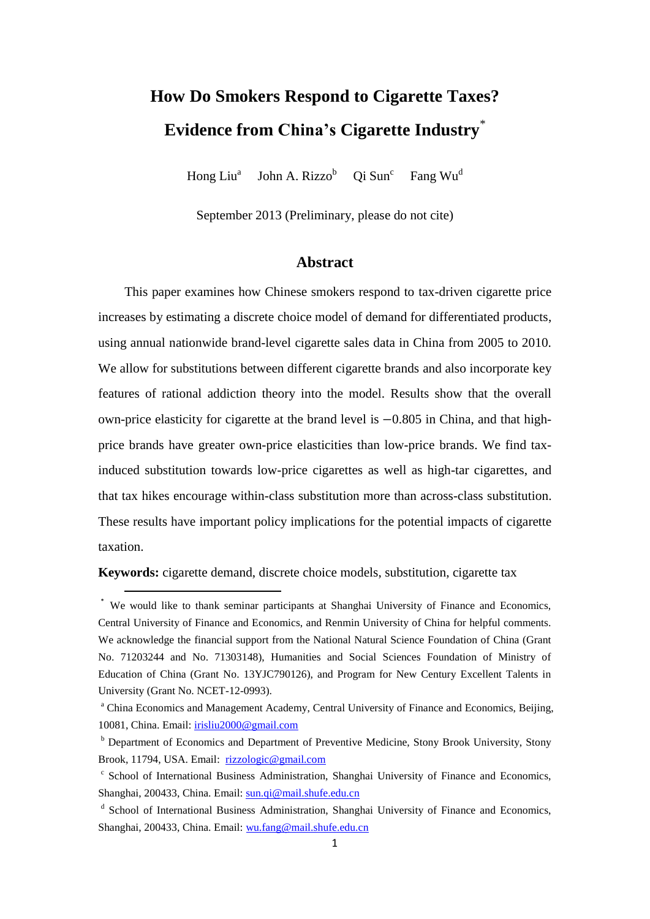# **How Do Smokers Respond to Cigarette Taxes? Evidence from China's Cigarette Industry**\*

Hong Liu<sup>a</sup> John A. Rizzo<sup>b</sup> Qi Sun<sup>c</sup> Fang Wu<sup>d</sup>

September 2013 (Preliminary, please do not cite)

# **Abstract**

This paper examines how Chinese smokers respond to tax-driven cigarette price increases by estimating a discrete choice model of demand for differentiated products, using annual nationwide brand-level cigarette sales data in China from 2005 to 2010. We allow for substitutions between different cigarette brands and also incorporate key features of rational addiction theory into the model. Results show that the overall own-price elasticity for cigarette at the brand level is  $-0.805$  in China, and that highprice brands have greater own-price elasticities than low-price brands. We find taxinduced substitution towards low-price cigarettes as well as high-tar cigarettes, and that tax hikes encourage within-class substitution more than across-class substitution. These results have important policy implications for the potential impacts of cigarette taxation.

**Keywords:** cigarette demand, discrete choice models, substitution, cigarette tax

 $\overline{\phantom{a}}$ 

<sup>\*</sup> We would like to thank seminar participants at Shanghai University of Finance and Economics, Central University of Finance and Economics, and Renmin University of China for helpful comments. We acknowledge the financial support from the National Natural Science Foundation of China (Grant No. 71203244 and No. 71303148), Humanities and Social Sciences Foundation of Ministry of Education of China (Grant No. 13YJC790126), and Program for New Century Excellent Talents in University (Grant No. NCET-12-0993).

<sup>&</sup>lt;sup>a</sup> China Economics and Management Academy, Central University of Finance and Economics, Beijing, 10081, China. Email: [irisliu2000@gmail.com](mailto:irisliu2000@gmail.com)

**b** Department of Economics and Department of Preventive Medicine, Stony Brook University, Stony Brook, 11794, USA. Email: [rizzologic@gmail.com](mailto:rizzologic@gmail.com)

<sup>&</sup>lt;sup>c</sup> School of International Business Administration, Shanghai University of Finance and Economics, Shanghai, 200433, China. Email: [sun.qi@mail.shufe.edu.cn](mailto:sun.qi@mail.shufe.edu.cn)

<sup>&</sup>lt;sup>d</sup> School of International Business Administration, Shanghai University of Finance and Economics, Shanghai, 200433, China. Email: [wu.fang@mail.shufe.edu.cn](mailto:wu.fang@mail.shufe.edu.cn)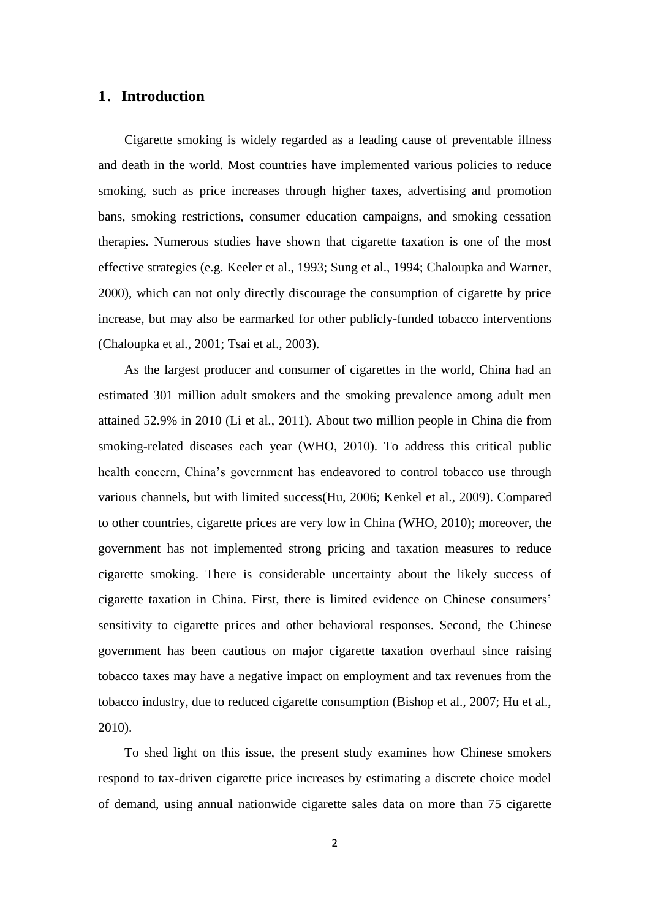## **1**.**Introduction**

Cigarette smoking is widely regarded as a leading cause of preventable illness and death in the world. Most countries have implemented various policies to reduce smoking, such as price increases through higher taxes, advertising and promotion bans, smoking restrictions, consumer education campaigns, and smoking cessation therapies. Numerous studies have shown that cigarette taxation is one of the most effective strategies (e.g. Keeler et al., 1993; Sung et al., 1994; Chaloupka and Warner, 2000), which can not only directly discourage the consumption of cigarette by price increase, but may also be earmarked for other publicly-funded tobacco interventions (Chaloupka et al., 2001; Tsai et al., 2003).

As the largest producer and consumer of cigarettes in the world, China had an estimated 301 million adult smokers and the smoking prevalence among adult men attained 52.9% in 2010 (Li et al., 2011). About two million people in China die from smoking-related diseases each year (WHO, 2010). To address this critical public health concern, China's government has endeavored to control tobacco use through various channels, but with limited success(Hu, 2006; Kenkel et al., 2009). Compared to other countries, cigarette prices are very low in China (WHO, 2010); moreover, the government has not implemented strong pricing and taxation measures to reduce cigarette smoking. There is considerable uncertainty about the likely success of cigarette taxation in China. First, there is limited evidence on Chinese consumers' sensitivity to cigarette prices and other behavioral responses. Second, the Chinese government has been cautious on major cigarette taxation overhaul since raising tobacco taxes may have a negative impact on employment and tax revenues from the tobacco industry, due to reduced cigarette consumption (Bishop et al., 2007; Hu et al., 2010).

To shed light on this issue, the present study examines how Chinese smokers respond to tax-driven cigarette price increases by estimating a discrete choice model of demand, using annual nationwide cigarette sales data on more than 75 cigarette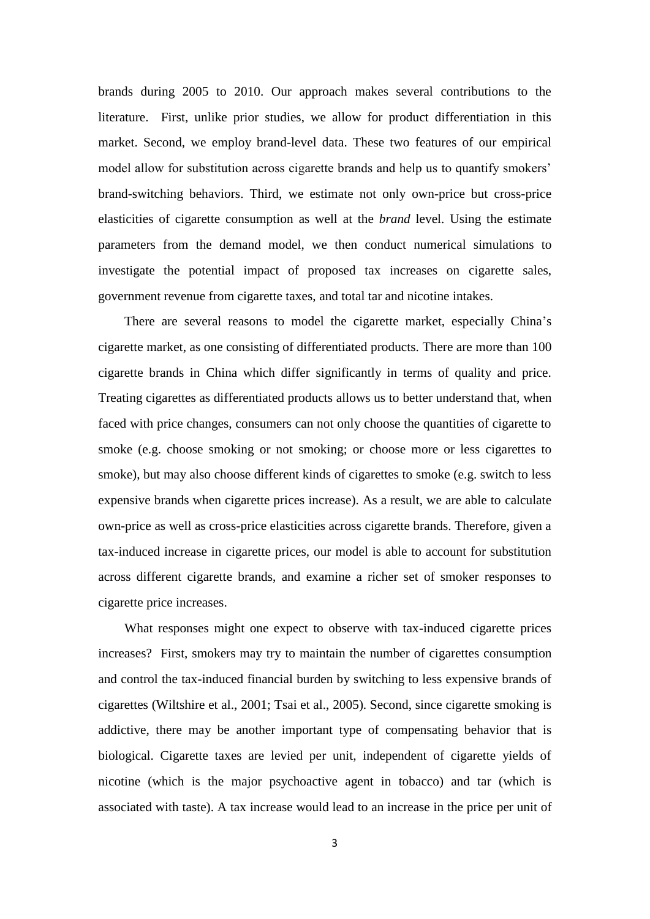brands during 2005 to 2010. Our approach makes several contributions to the literature. First, unlike prior studies, we allow for product differentiation in this market. Second, we employ brand-level data. These two features of our empirical model allow for substitution across cigarette brands and help us to quantify smokers' brand-switching behaviors. Third, we estimate not only own-price but cross-price elasticities of cigarette consumption as well at the *brand* level. Using the estimate parameters from the demand model, we then conduct numerical simulations to investigate the potential impact of proposed tax increases on cigarette sales, government revenue from cigarette taxes, and total tar and nicotine intakes.

There are several reasons to model the cigarette market, especially China's cigarette market, as one consisting of differentiated products. There are more than 100 cigarette brands in China which differ significantly in terms of quality and price. Treating cigarettes as differentiated products allows us to better understand that, when faced with price changes, consumers can not only choose the quantities of cigarette to smoke (e.g. choose smoking or not smoking; or choose more or less cigarettes to smoke), but may also choose different kinds of cigarettes to smoke (e.g. switch to less expensive brands when cigarette prices increase). As a result, we are able to calculate own-price as well as cross-price elasticities across cigarette brands. Therefore, given a tax-induced increase in cigarette prices, our model is able to account for substitution across different cigarette brands, and examine a richer set of smoker responses to cigarette price increases.

What responses might one expect to observe with tax-induced cigarette prices increases? First, smokers may try to maintain the number of cigarettes consumption and control the tax-induced financial burden by switching to less expensive brands of cigarettes (Wiltshire et al., 2001; Tsai et al., 2005). Second, since cigarette smoking is addictive, there may be another important type of compensating behavior that is biological. Cigarette taxes are levied per unit, independent of cigarette yields of nicotine (which is the major psychoactive agent in tobacco) and tar (which is associated with taste). A tax increase would lead to an increase in the price per unit of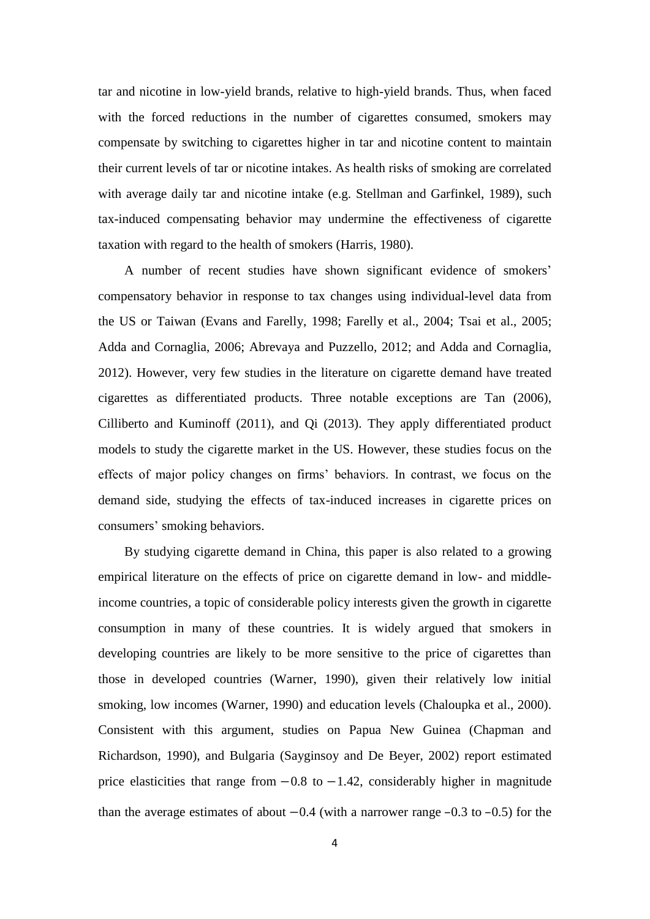tar and nicotine in low-yield brands, relative to high-yield brands. Thus, when faced with the forced reductions in the number of cigarettes consumed, smokers may compensate by switching to cigarettes higher in tar and nicotine content to maintain their current levels of tar or nicotine intakes. As health risks of smoking are correlated with average daily tar and nicotine intake (e.g. Stellman and Garfinkel, 1989), such tax-induced compensating behavior may undermine the effectiveness of cigarette taxation with regard to the health of smokers (Harris, 1980).

A number of recent studies have shown significant evidence of smokers' compensatory behavior in response to tax changes using individual-level data from the US or Taiwan (Evans and Farelly, 1998; Farelly et al., 2004; Tsai et al., 2005; Adda and Cornaglia, 2006; Abrevaya and Puzzello, 2012; and Adda and Cornaglia, 2012). However, very few studies in the literature on cigarette demand have treated cigarettes as differentiated products. Three notable exceptions are Tan (2006), Cilliberto and Kuminoff (2011), and Qi (2013). They apply differentiated product models to study the cigarette market in the US. However, these studies focus on the effects of major policy changes on firms' behaviors. In contrast, we focus on the demand side, studying the effects of tax-induced increases in cigarette prices on consumers' smoking behaviors.

By studying cigarette demand in China, this paper is also related to a growing empirical literature on the effects of price on cigarette demand in low- and middleincome countries, a topic of considerable policy interests given the growth in cigarette consumption in many of these countries. It is widely argued that smokers in developing countries are likely to be more sensitive to the price of cigarettes than those in developed countries (Warner, 1990), given their relatively low initial smoking, low incomes (Warner, 1990) and education levels (Chaloupka et al., 2000). Consistent with this argument, studies on Papua New Guinea (Chapman and Richardson, 1990), and Bulgaria (Sayginsoy and De Beyer, 2002) report estimated price elasticities that range from  $-0.8$  to  $-1.42$ , considerably higher in magnitude than the average estimates of about  $-0.4$  (with a narrower range  $-0.3$  to  $-0.5$ ) for the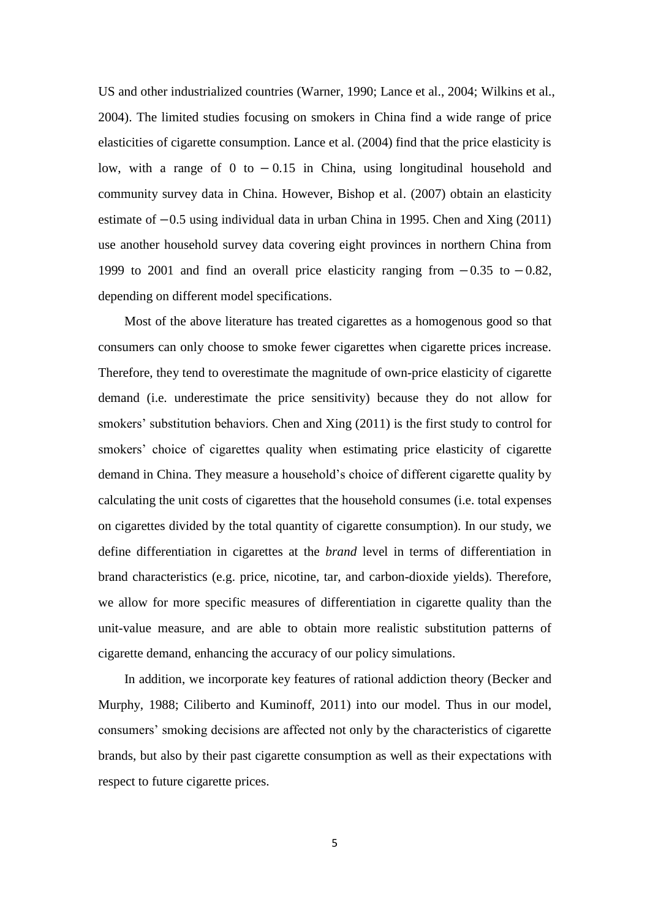US and other industrialized countries (Warner, 1990; Lance et al., 2004; Wilkins et al., 2004). The limited studies focusing on smokers in China find a wide range of price elasticities of cigarette consumption. Lance et al. (2004) find that the price elasticity is low, with a range of 0 to  $-0.15$  in China, using longitudinal household and community survey data in China. However, Bishop et al. (2007) obtain an elasticity estimate of  $-0.5$  using individual data in urban China in 1995. Chen and Xing (2011) use another household survey data covering eight provinces in northern China from 1999 to 2001 and find an overall price elasticity ranging from  $-0.35$  to  $-0.82$ , depending on different model specifications.

Most of the above literature has treated cigarettes as a homogenous good so that consumers can only choose to smoke fewer cigarettes when cigarette prices increase. Therefore, they tend to overestimate the magnitude of own-price elasticity of cigarette demand (i.e. underestimate the price sensitivity) because they do not allow for smokers' substitution behaviors. Chen and Xing (2011) is the first study to control for smokers' choice of cigarettes quality when estimating price elasticity of cigarette demand in China. They measure a household's choice of different cigarette quality by calculating the unit costs of cigarettes that the household consumes (i.e. total expenses on cigarettes divided by the total quantity of cigarette consumption). In our study, we define differentiation in cigarettes at the *brand* level in terms of differentiation in brand characteristics (e.g. price, nicotine, tar, and carbon-dioxide yields). Therefore, we allow for more specific measures of differentiation in cigarette quality than the unit-value measure, and are able to obtain more realistic substitution patterns of cigarette demand, enhancing the accuracy of our policy simulations.

In addition, we incorporate key features of rational addiction theory (Becker and Murphy, 1988; Ciliberto and Kuminoff, 2011) into our model. Thus in our model, consumers' smoking decisions are affected not only by the characteristics of cigarette brands, but also by their past cigarette consumption as well as their expectations with respect to future cigarette prices.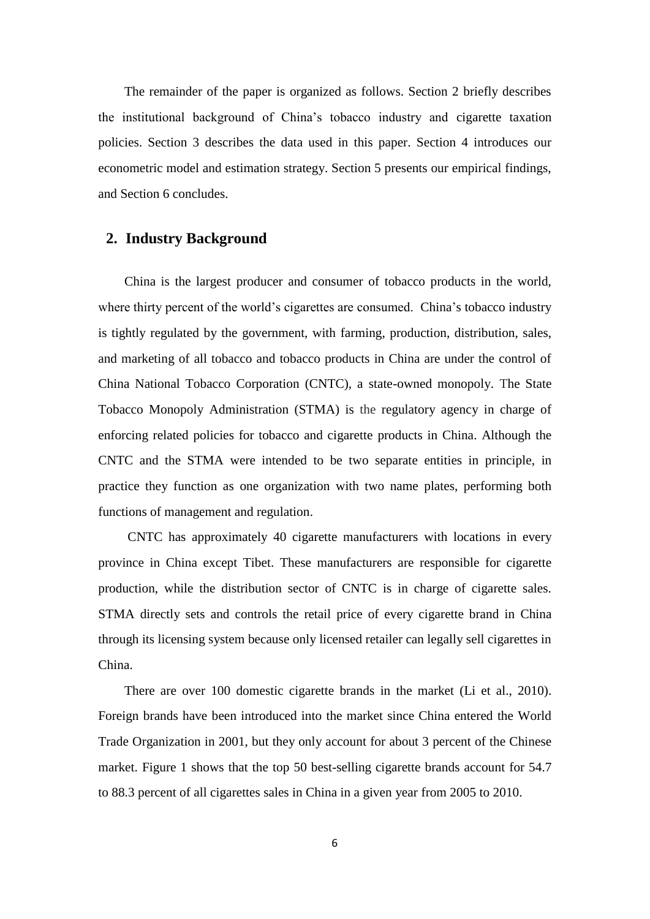The remainder of the paper is organized as follows. Section 2 briefly describes the institutional background of China's tobacco industry and cigarette taxation policies. Section 3 describes the data used in this paper. Section 4 introduces our econometric model and estimation strategy. Section 5 presents our empirical findings, and Section 6 concludes.

# **2. Industry Background**

China is the largest producer and consumer of tobacco products in the world, where thirty percent of the world's cigarettes are consumed. China's tobacco industry is tightly regulated by the government, with farming, production, distribution, sales, and marketing of all tobacco and tobacco products in China are under the control of China National Tobacco Corporation (CNTC), a state-owned monopoly. The State Tobacco Monopoly Administration (STMA) is the regulatory agency in charge of enforcing related policies for tobacco and cigarette products in China. Although the CNTC and the STMA were intended to be two separate entities in principle, in practice they function as one organization with two name plates, performing both functions of management and regulation.

CNTC has approximately 40 cigarette manufacturers with locations in every province in China except Tibet. These manufacturers are responsible for cigarette production, while the distribution sector of CNTC is in charge of cigarette sales. STMA directly sets and controls the retail price of every cigarette brand in China through its licensing system because only licensed retailer can legally sell cigarettes in China.

There are over 100 domestic cigarette brands in the market (Li et al., 2010). Foreign brands have been introduced into the market since China entered the World Trade Organization in 2001, but they only account for about 3 percent of the Chinese market. Figure 1 shows that the top 50 best-selling cigarette brands account for 54.7 to 88.3 percent of all cigarettes sales in China in a given year from 2005 to 2010.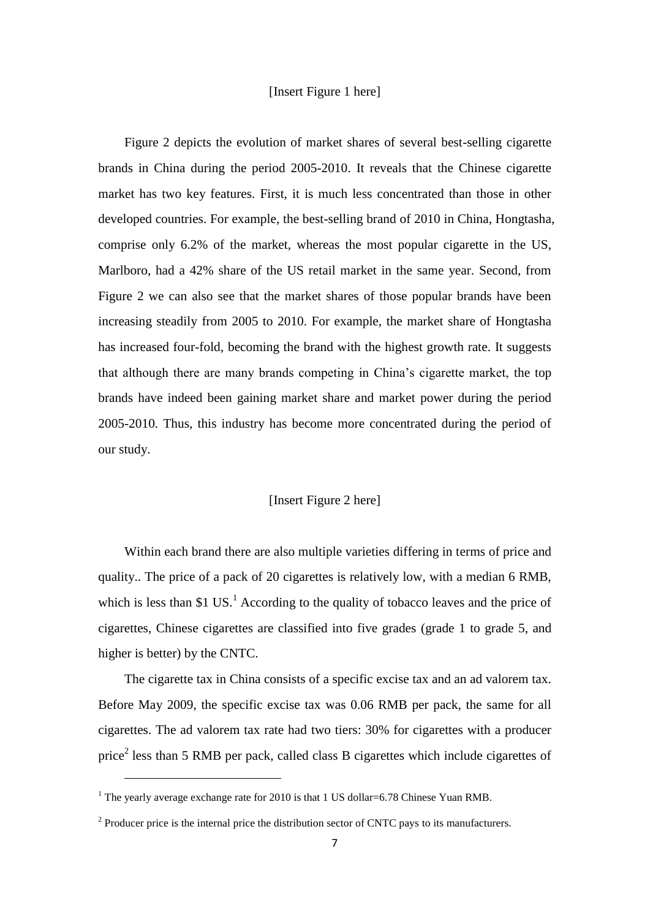## [Insert Figure 1 here]

Figure 2 depicts the evolution of market shares of several best-selling cigarette brands in China during the period 2005-2010. It reveals that the Chinese cigarette market has two key features. First, it is much less concentrated than those in other developed countries. For example, the best-selling brand of 2010 in China, Hongtasha, comprise only 6.2% of the market, whereas the most popular cigarette in the US, Marlboro, had a 42% share of the US retail market in the same year. Second, from Figure 2 we can also see that the market shares of those popular brands have been increasing steadily from 2005 to 2010. For example, the market share of Hongtasha has increased four-fold, becoming the brand with the highest growth rate. It suggests that although there are many brands competing in China's cigarette market, the top brands have indeed been gaining market share and market power during the period 2005-2010. Thus, this industry has become more concentrated during the period of our study.

# [Insert Figure 2 here]

Within each brand there are also multiple varieties differing in terms of price and quality.. The price of a pack of 20 cigarettes is relatively low, with a median 6 RMB, which is less than \$1 US.<sup>1</sup> According to the quality of tobacco leaves and the price of cigarettes, Chinese cigarettes are classified into five grades (grade 1 to grade 5, and higher is better) by the CNTC.

The cigarette tax in China consists of a specific excise tax and an ad valorem tax. Before May 2009, the specific excise tax was 0.06 RMB per pack, the same for all cigarettes. The ad valorem tax rate had two tiers: 30% for cigarettes with a producer price<sup>2</sup> less than 5 RMB per pack, called class B cigarettes which include cigarettes of

 $\overline{\phantom{a}}$ 

<sup>&</sup>lt;sup>1</sup> The vearly average exchange rate for 2010 is that 1 US dollar=6.78 Chinese Yuan RMB.

 $2^2$  Producer price is the internal price the distribution sector of CNTC pays to its manufacturers.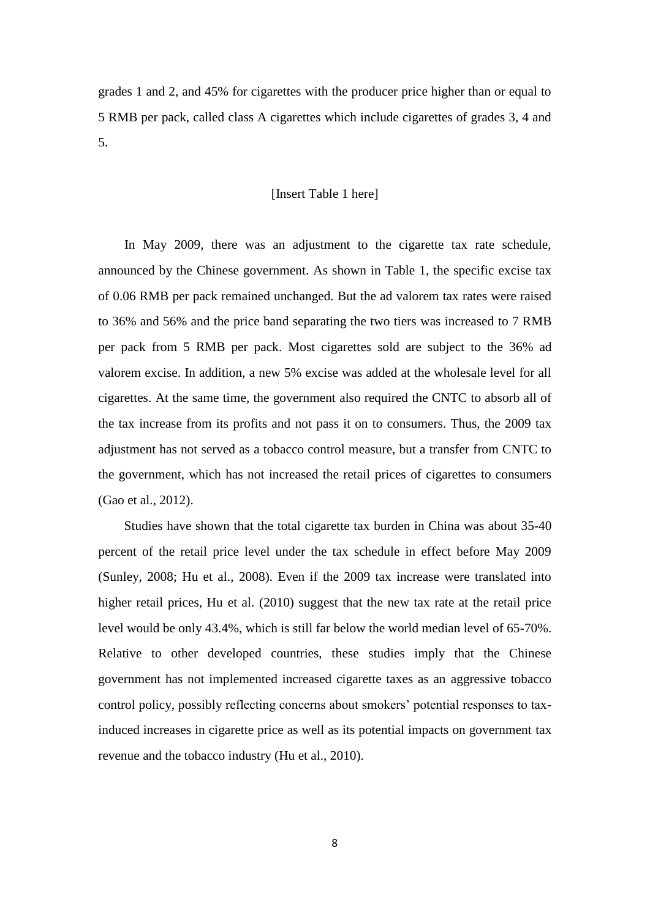grades 1 and 2, and 45% for cigarettes with the producer price higher than or equal to 5 RMB per pack, called class A cigarettes which include cigarettes of grades 3, 4 and 5.

## [Insert Table 1 here]

In May 2009, there was an adjustment to the cigarette tax rate schedule, announced by the Chinese government. As shown in Table 1, the specific excise tax of 0.06 RMB per pack remained unchanged. But the ad valorem tax rates were raised to 36% and 56% and the price band separating the two tiers was increased to 7 RMB per pack from 5 RMB per pack. Most cigarettes sold are subject to the 36% ad valorem excise. In addition, a new 5% excise was added at the wholesale level for all cigarettes. At the same time, the government also required the CNTC to absorb all of the tax increase from its profits and not pass it on to consumers. Thus, the 2009 tax adjustment has not served as a tobacco control measure, but a transfer from CNTC to the government, which has not increased the retail prices of cigarettes to consumers (Gao et al., 2012).

Studies have shown that the total cigarette tax burden in China was about 35-40 percent of the retail price level under the tax schedule in effect before May 2009 (Sunley, 2008; Hu et al., 2008). Even if the 2009 tax increase were translated into higher retail prices, Hu et al. (2010) suggest that the new tax rate at the retail price level would be only 43.4%, which is still far below the world median level of 65-70%. Relative to other developed countries, these studies imply that the Chinese government has not implemented increased cigarette taxes as an aggressive tobacco control policy, possibly reflecting concerns about smokers' potential responses to taxinduced increases in cigarette price as well as its potential impacts on government tax revenue and the tobacco industry (Hu et al., 2010).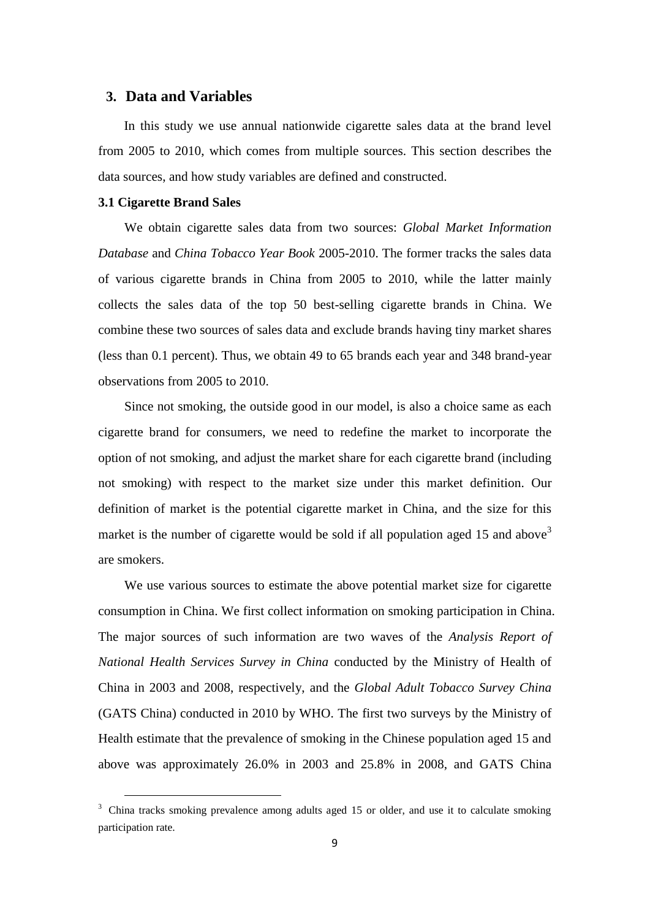# **3. Data and Variables**

In this study we use annual nationwide cigarette sales data at the brand level from 2005 to 2010, which comes from multiple sources. This section describes the data sources, and how study variables are defined and constructed.

#### **3.1 Cigarette Brand Sales**

 $\overline{a}$ 

We obtain cigarette sales data from two sources: *Global Market Information Database* and *China Tobacco Year Book* 2005-2010. The former tracks the sales data of various cigarette brands in China from 2005 to 2010, while the latter mainly collects the sales data of the top 50 best-selling cigarette brands in China. We combine these two sources of sales data and exclude brands having tiny market shares (less than 0.1 percent). Thus, we obtain 49 to 65 brands each year and 348 brand-year observations from 2005 to 2010.

Since not smoking, the outside good in our model, is also a choice same as each cigarette brand for consumers, we need to redefine the market to incorporate the option of not smoking, and adjust the market share for each cigarette brand (including not smoking) with respect to the market size under this market definition. Our definition of market is the potential cigarette market in China, and the size for this market is the number of cigarette would be sold if all population aged 15 and above  $3<sup>3</sup>$ are smokers.

We use various sources to estimate the above potential market size for cigarette consumption in China. We first collect information on smoking participation in China. The major sources of such information are two waves of the *Analysis Report of National Health Services Survey in China* conducted by the Ministry of Health of China in 2003 and 2008, respectively, and the *Global Adult Tobacco Survey China* (GATS China) conducted in 2010 by WHO. The first two surveys by the Ministry of Health estimate that the prevalence of smoking in the Chinese population aged 15 and above was approximately 26.0% in 2003 and 25.8% in 2008, and GATS China

<sup>&</sup>lt;sup>3</sup> China tracks smoking prevalence among adults aged 15 or older, and use it to calculate smoking participation rate.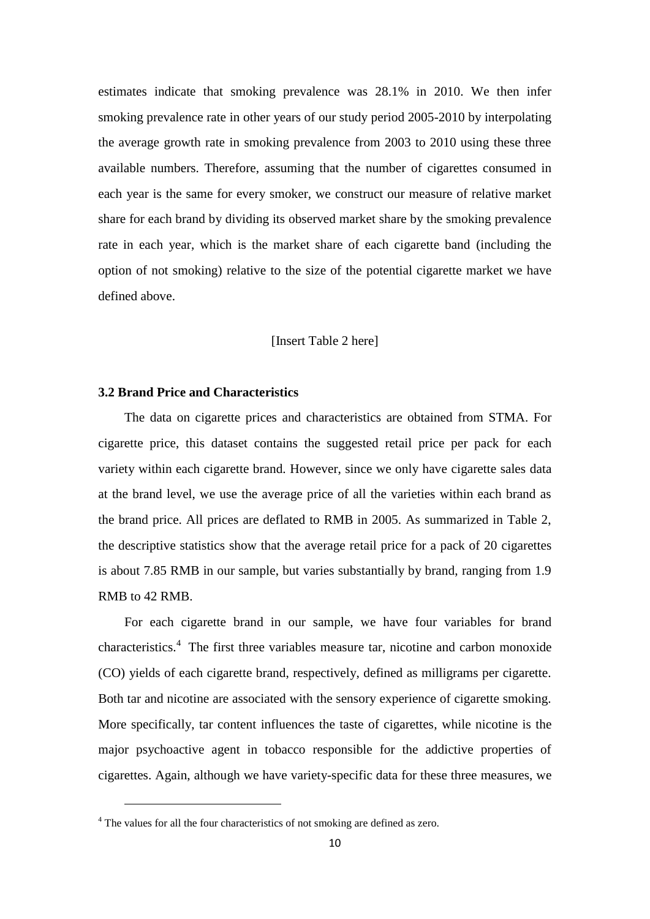estimates indicate that smoking prevalence was 28.1% in 2010. We then infer smoking prevalence rate in other years of our study period 2005-2010 by interpolating the average growth rate in smoking prevalence from 2003 to 2010 using these three available numbers. Therefore, assuming that the number of cigarettes consumed in each year is the same for every smoker, we construct our measure of relative market share for each brand by dividing its observed market share by the smoking prevalence rate in each year, which is the market share of each cigarette band (including the option of not smoking) relative to the size of the potential cigarette market we have defined above.

## [Insert Table 2 here]

#### **3.2 Brand Price and Characteristics**

The data on cigarette prices and characteristics are obtained from STMA. For cigarette price, this dataset contains the suggested retail price per pack for each variety within each cigarette brand. However, since we only have cigarette sales data at the brand level, we use the average price of all the varieties within each brand as the brand price. All prices are deflated to RMB in 2005. As summarized in Table 2, the descriptive statistics show that the average retail price for a pack of 20 cigarettes is about 7.85 RMB in our sample, but varies substantially by brand, ranging from 1.9 RMB to 42 RMB.

For each cigarette brand in our sample, we have four variables for brand characteristics.<sup>4</sup> The first three variables measure tar, nicotine and carbon monoxide (CO) yields of each cigarette brand, respectively, defined as milligrams per cigarette. Both tar and nicotine are associated with the sensory experience of cigarette smoking. More specifically, tar content influences the taste of cigarettes, while nicotine is the major psychoactive agent in tobacco responsible for the addictive properties of cigarettes. Again, although we have variety-specific data for these three measures, we

 $\overline{\phantom{a}}$ 

<sup>&</sup>lt;sup>4</sup> The values for all the four characteristics of not smoking are defined as zero.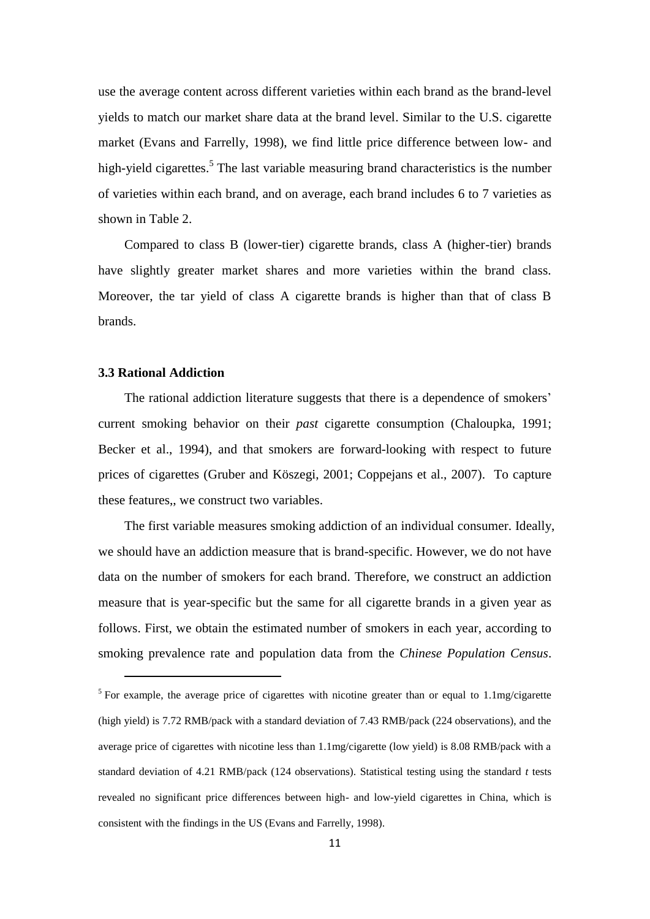use the average content across different varieties within each brand as the brand-level yields to match our market share data at the brand level. Similar to the U.S. cigarette market (Evans and Farrelly, 1998), we find little price difference between low- and high-yield cigarettes.<sup>5</sup> The last variable measuring brand characteristics is the number of varieties within each brand, and on average, each brand includes 6 to 7 varieties as shown in Table 2.

Compared to class B (lower-tier) cigarette brands, class A (higher-tier) brands have slightly greater market shares and more varieties within the brand class. Moreover, the tar yield of class A cigarette brands is higher than that of class B brands.

#### **3.3 Rational Addiction**

 $\overline{\phantom{a}}$ 

The rational addiction literature suggests that there is a dependence of smokers' current smoking behavior on their *past* cigarette consumption (Chaloupka, 1991; Becker et al., 1994), and that smokers are forward-looking with respect to future prices of cigarettes (Gruber and Köszegi, 2001; Coppejans et al., 2007). To capture these features,, we construct two variables.

The first variable measures smoking addiction of an individual consumer. Ideally, we should have an addiction measure that is brand-specific. However, we do not have data on the number of smokers for each brand. Therefore, we construct an addiction measure that is year-specific but the same for all cigarette brands in a given year as follows. First, we obtain the estimated number of smokers in each year, according to smoking prevalence rate and population data from the *Chinese Population Census*.

<sup>&</sup>lt;sup>5</sup> For example, the average price of cigarettes with nicotine greater than or equal to 1.1mg/cigarette (high yield) is 7.72 RMB/pack with a standard deviation of 7.43 RMB/pack (224 observations), and the average price of cigarettes with nicotine less than 1.1mg/cigarette (low yield) is 8.08 RMB/pack with a standard deviation of 4.21 RMB/pack (124 observations). Statistical testing using the standard *t* tests revealed no significant price differences between high- and low-yield cigarettes in China, which is consistent with the findings in the US (Evans and Farrelly, 1998).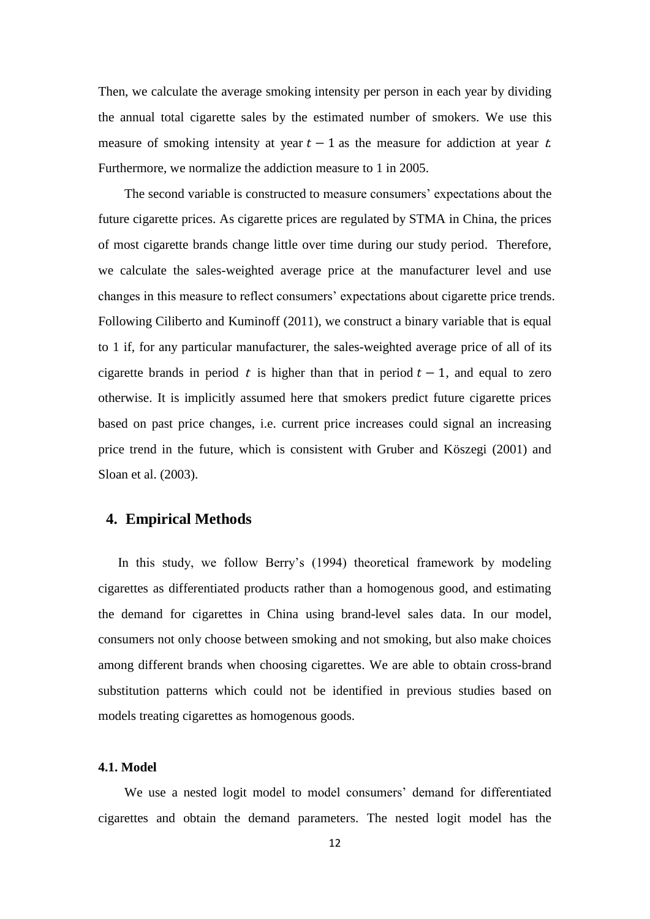Then, we calculate the average smoking intensity per person in each year by dividing the annual total cigarette sales by the estimated number of smokers. We use this measure of smoking intensity at year  $t-1$  as the measure for addiction at year t. Furthermore, we normalize the addiction measure to 1 in 2005.

The second variable is constructed to measure consumers' expectations about the future cigarette prices. As cigarette prices are regulated by STMA in China, the prices of most cigarette brands change little over time during our study period. Therefore, we calculate the sales-weighted average price at the manufacturer level and use changes in this measure to reflect consumers' expectations about cigarette price trends. Following Ciliberto and Kuminoff (2011), we construct a binary variable that is equal to 1 if, for any particular manufacturer, the sales-weighted average price of all of its cigarette brands in period t is higher than that in period  $t - 1$ , and equal to zero otherwise. It is implicitly assumed here that smokers predict future cigarette prices based on past price changes, i.e. current price increases could signal an increasing price trend in the future, which is consistent with Gruber and Köszegi (2001) and Sloan et al. (2003).

## **4. Empirical Methods**

 In this study, we follow Berry's (1994) theoretical framework by modeling cigarettes as differentiated products rather than a homogenous good, and estimating the demand for cigarettes in China using brand-level sales data. In our model, consumers not only choose between smoking and not smoking, but also make choices among different brands when choosing cigarettes. We are able to obtain cross-brand substitution patterns which could not be identified in previous studies based on models treating cigarettes as homogenous goods.

## **4.1. Model**

We use a nested logit model to model consumers' demand for differentiated cigarettes and obtain the demand parameters. The nested logit model has the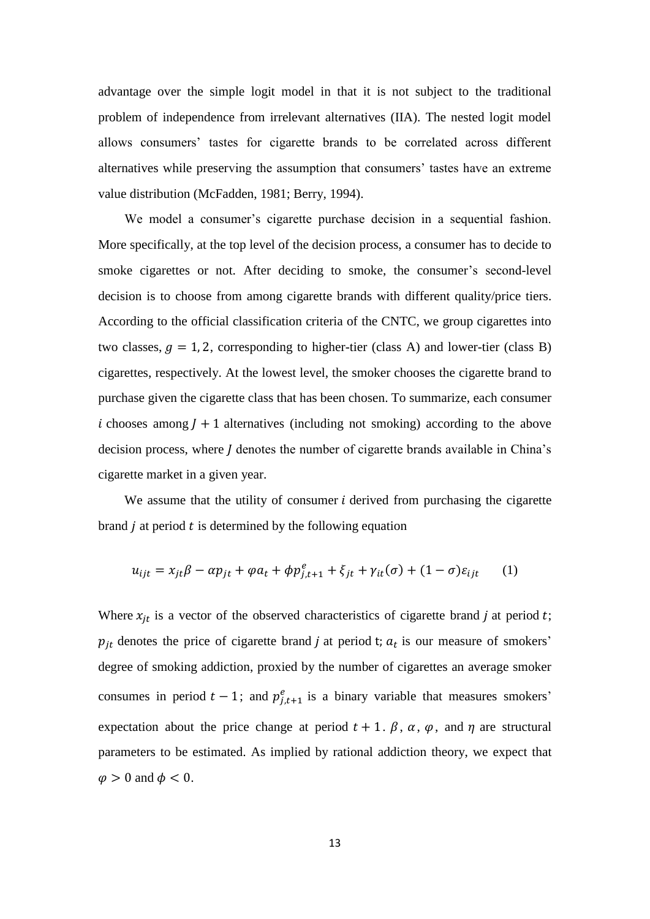advantage over the simple logit model in that it is not subject to the traditional problem of independence from irrelevant alternatives (IIA). The nested logit model allows consumers' tastes for cigarette brands to be correlated across different alternatives while preserving the assumption that consumers' tastes have an extreme value distribution (McFadden, 1981; Berry, 1994).

We model a consumer's cigarette purchase decision in a sequential fashion. More specifically, at the top level of the decision process, a consumer has to decide to smoke cigarettes or not. After deciding to smoke, the consumer's second-level decision is to choose from among cigarette brands with different quality/price tiers. According to the official classification criteria of the CNTC, we group cigarettes into two classes,  $g = 1, 2$ , corresponding to higher-tier (class A) and lower-tier (class B) cigarettes, respectively. At the lowest level, the smoker chooses the cigarette brand to purchase given the cigarette class that has been chosen. To summarize, each consumer i chooses among  $I + 1$  alternatives (including not smoking) according to the above decision process, where *I* denotes the number of cigarette brands available in China's cigarette market in a given year.

We assume that the utility of consumer  $i$  derived from purchasing the cigarette brand  $\dot{\jmath}$  at period  $\dot{\jmath}$  is determined by the following equation

$$
u_{ijt} = x_{jt}\beta - \alpha p_{jt} + \varphi a_t + \phi p_{j,t+1}^e + \xi_{jt} + \gamma_{it}(\sigma) + (1 - \sigma)\varepsilon_{ijt} \tag{1}
$$

Where  $x_{it}$  is a vector of the observed characteristics of cigarette brand j at period t;  $p_{it}$  denotes the price of cigarette brand *j* at period t;  $a_t$  is our measure of smokers' degree of smoking addiction, proxied by the number of cigarettes an average smoker consumes in period  $t - 1$ ; and  $p_{i,t+1}^e$  is a binary variable that measures smokers' expectation about the price change at period  $t + 1$ .  $\beta$ ,  $\alpha$ ,  $\varphi$ , and  $\eta$  are structural parameters to be estimated. As implied by rational addiction theory, we expect that  $\varphi > 0$  and  $\varphi < 0$ .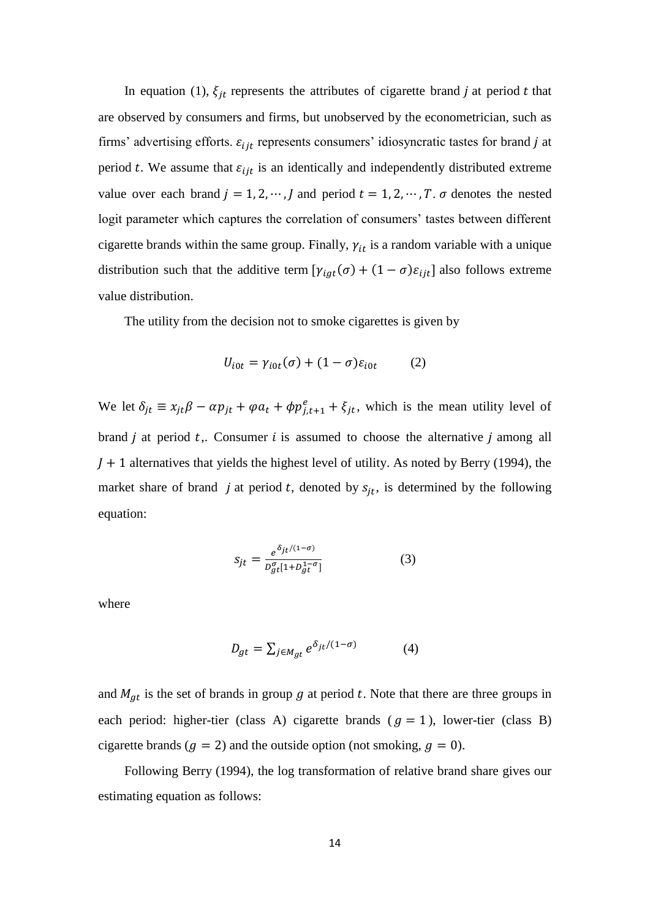In equation (1),  $\xi_{it}$  represents the attributes of cigarette brand j at period t that are observed by consumers and firms, but unobserved by the econometrician, such as firms' advertising efforts.  $\varepsilon_{ijt}$  represents consumers' idiosyncratic tastes for brand j at period t. We assume that  $\varepsilon_{ijt}$  is an identically and independently distributed extreme value over each brand  $j = 1, 2, \dots, J$  and period  $t = 1, 2, \dots, T$ .  $\sigma$  denotes the nested logit parameter which captures the correlation of consumers' tastes between different cigarette brands within the same group. Finally,  $\gamma_{it}$  is a random variable with a unique distribution such that the additive term  $[\gamma_{igt}(\sigma) + (1 - \sigma)\varepsilon_{ijt}]$  also follows extreme value distribution.

The utility from the decision not to smoke cigarettes is given by

$$
U_{i0t} = \gamma_{i0t}(\sigma) + (1 - \sigma)\varepsilon_{i0t} \tag{2}
$$

We let  $\delta_{it} \equiv x_{it} \beta - \alpha p_{it} + \varphi a_t + \varphi p_{i,t+1}^e + \xi_{it}$ , which is the mean utility level of brand  $j$  at period  $t$ . Consumer  $i$  is assumed to choose the alternative  $j$  among all  $J + 1$  alternatives that yields the highest level of utility. As noted by Berry (1994), the market share of brand j at period t, denoted by  $s_{it}$ , is determined by the following equation:

$$
S_{jt} = \frac{e^{\delta_{jt}/(1-\sigma)}}{p_{gt}^{\sigma}[1 + D_{gt}^{1-\sigma}]} \tag{3}
$$

where

$$
D_{gt} = \sum_{j \in M_{at}} e^{\delta_{jt}/(1-\sigma)} \tag{4}
$$

and  $M_{gt}$  is the set of brands in group g at period t. Note that there are three groups in each period: higher-tier (class A) cigarette brands ( $g = 1$ ), lower-tier (class B) cigarette brands ( $g = 2$ ) and the outside option (not smoking,  $g = 0$ ).

Following Berry (1994), the log transformation of relative brand share gives our estimating equation as follows: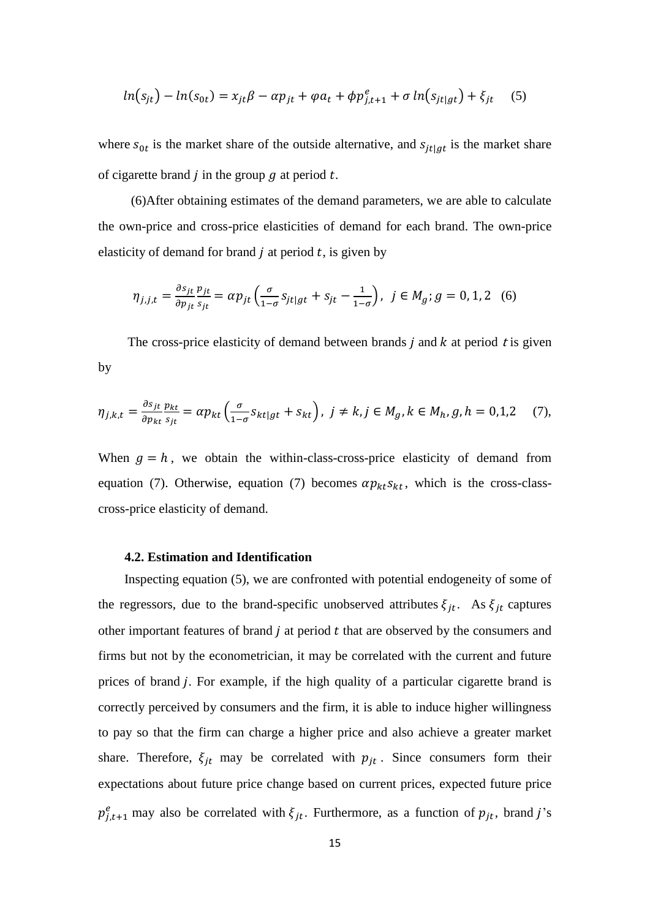$$
ln(s_{jt}) - ln(s_{0t}) = x_{jt}\beta - \alpha p_{jt} + \varphi a_t + \phi p_{j,t+1}^e + \sigma ln(s_{jt|gt}) + \xi_{jt}
$$
 (5)

where  $s_{0t}$  is the market share of the outside alternative, and  $s_{it}$  is the market share of cigarette brand  $j$  in the group  $q$  at period  $t$ .

 (6)After obtaining estimates of the demand parameters, we are able to calculate the own-price and cross-price elasticities of demand for each brand. The own-price elasticity of demand for brand  $j$  at period  $t$ , is given by

$$
\eta_{j,j,t} = \frac{\partial s_{jt}}{\partial p_{jt}} \frac{p_{jt}}{s_{jt}} = \alpha p_{jt} \left( \frac{\sigma}{1 - \sigma} s_{jt|gt} + s_{jt} - \frac{1}{1 - \sigma} \right), \ \ j \in M_g; g = 0, 1, 2 \quad (6)
$$

The cross-price elasticity of demand between brands  $j$  and  $k$  at period  $t$  is given by

$$
\eta_{j,k,t} = \frac{\partial s_{jt}}{\partial p_{kt}} \frac{p_{kt}}{s_{jt}} = \alpha p_{kt} \left( \frac{\sigma}{1 - \sigma} s_{kt|gt} + s_{kt} \right), \ j \neq k, j \in M_g, k \in M_h, g, h = 0, 1, 2 \quad (7),
$$

When  $g = h$ , we obtain the within-class-cross-price elasticity of demand from equation (7). Otherwise, equation (7) becomes  $\alpha p_{kt} s_{kt}$ , which is the cross-classcross-price elasticity of demand.

#### **4.2. Estimation and Identification**

Inspecting equation (5), we are confronted with potential endogeneity of some of the regressors, due to the brand-specific unobserved attributes  $\xi_{jt}$ . As  $\xi_{jt}$  captures other important features of brand  $j$  at period  $t$  that are observed by the consumers and firms but not by the econometrician, it may be correlated with the current and future prices of brand  $j$ . For example, if the high quality of a particular cigarette brand is correctly perceived by consumers and the firm, it is able to induce higher willingness to pay so that the firm can charge a higher price and also achieve a greater market share. Therefore,  $\xi_{jt}$  may be correlated with  $p_{jt}$ . Since consumers form their expectations about future price change based on current prices, expected future price  $p_{i,t+1}^e$  may also be correlated with  $\xi_{it}$ . Furthermore, as a function of  $p_{it}$ , brand j's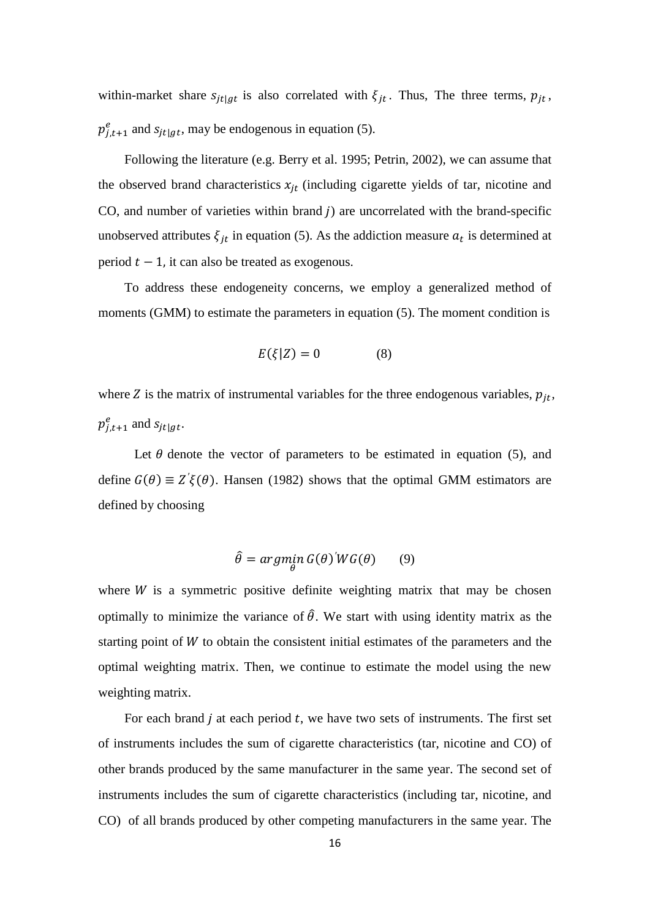within-market share  $s_{jt|gt}$  is also correlated with  $\xi_{jt}$ . Thus, The three terms,  $p_{jt}$ ,  $p_{i,t+1}^e$  and  $s_{i t | a t}$ , may be endogenous in equation (5).

Following the literature (e.g. Berry et al. 1995; Petrin, 2002), we can assume that the observed brand characteristics  $x_{it}$  (including cigarette yields of tar, nicotine and CO, and number of varieties within brand  $j$ ) are uncorrelated with the brand-specific unobserved attributes  $\xi_{it}$  in equation (5). As the addiction measure  $a_t$  is determined at period  $t - 1$ , it can also be treated as exogenous.

To address these endogeneity concerns, we employ a generalized method of moments (GMM) to estimate the parameters in equation (5). The moment condition is

$$
E(\xi|Z) = 0 \tag{8}
$$

where Z is the matrix of instrumental variables for the three endogenous variables,  $p_{it}$ ,  $p_{i,t+1}^e$  and  $s_{it|at}$ .

Let  $\theta$  denote the vector of parameters to be estimated in equation (5), and define  $G(\theta) \equiv Z' \xi(\theta)$ . Hansen (1982) shows that the optimal GMM estimators are defined by choosing

$$
\hat{\theta} = \underset{\theta}{\operatorname{argmin}} \, G(\theta)' W G(\theta) \qquad (9)
$$

where  $W$  is a symmetric positive definite weighting matrix that may be chosen optimally to minimize the variance of  $\hat{\theta}$ . We start with using identity matrix as the starting point of  $W$  to obtain the consistent initial estimates of the parameters and the optimal weighting matrix. Then, we continue to estimate the model using the new weighting matrix.

For each brand  $j$  at each period  $t$ , we have two sets of instruments. The first set of instruments includes the sum of cigarette characteristics (tar, nicotine and CO) of other brands produced by the same manufacturer in the same year. The second set of instruments includes the sum of cigarette characteristics (including tar, nicotine, and CO) of all brands produced by other competing manufacturers in the same year. The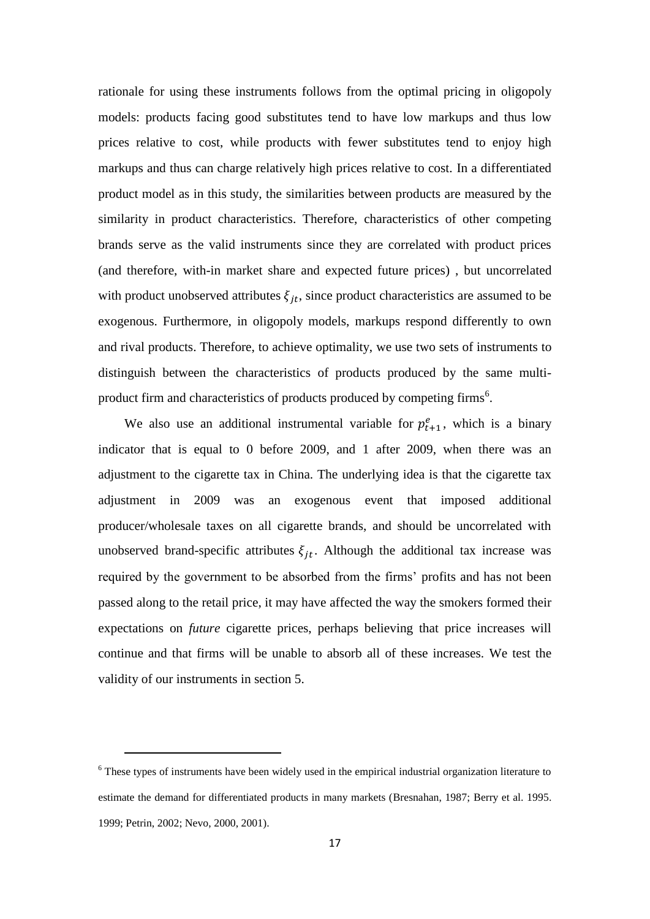rationale for using these instruments follows from the optimal pricing in oligopoly models: products facing good substitutes tend to have low markups and thus low prices relative to cost, while products with fewer substitutes tend to enjoy high markups and thus can charge relatively high prices relative to cost. In a differentiated product model as in this study, the similarities between products are measured by the similarity in product characteristics. Therefore, characteristics of other competing brands serve as the valid instruments since they are correlated with product prices (and therefore, with-in market share and expected future prices) , but uncorrelated with product unobserved attributes  $\xi_{it}$ , since product characteristics are assumed to be exogenous. Furthermore, in oligopoly models, markups respond differently to own and rival products. Therefore, to achieve optimality, we use two sets of instruments to distinguish between the characteristics of products produced by the same multiproduct firm and characteristics of products produced by competing firms<sup>6</sup>.

We also use an additional instrumental variable for  $p_{t+1}^e$ , which is a binary indicator that is equal to 0 before 2009, and 1 after 2009, when there was an adjustment to the cigarette tax in China. The underlying idea is that the cigarette tax adjustment in 2009 was an exogenous event that imposed additional producer/wholesale taxes on all cigarette brands, and should be uncorrelated with unobserved brand-specific attributes  $\xi_{it}$ . Although the additional tax increase was required by the government to be absorbed from the firms' profits and has not been passed along to the retail price, it may have affected the way the smokers formed their expectations on *future* cigarette prices, perhaps believing that price increases will continue and that firms will be unable to absorb all of these increases. We test the validity of our instruments in section 5.

 $\overline{a}$ 

<sup>&</sup>lt;sup>6</sup> These types of instruments have been widely used in the empirical industrial organization literature to estimate the demand for differentiated products in many markets (Bresnahan, 1987; Berry et al. 1995. 1999; Petrin, 2002; Nevo, 2000, 2001).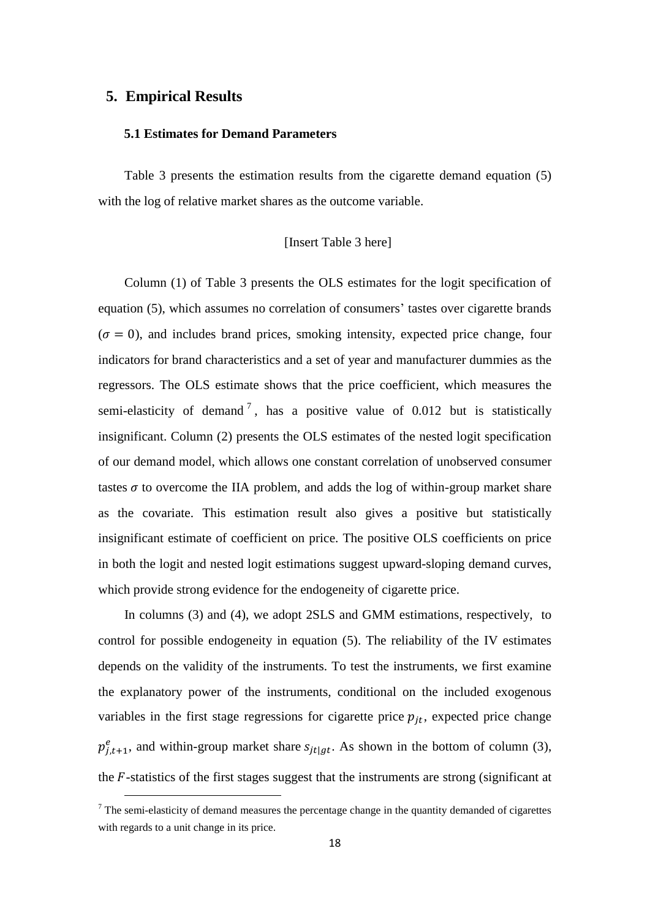## **5. Empirical Results**

 $\overline{a}$ 

## **5.1 Estimates for Demand Parameters**

Table 3 presents the estimation results from the cigarette demand equation (5) with the log of relative market shares as the outcome variable.

#### [Insert Table 3 here]

Column (1) of Table 3 presents the OLS estimates for the logit specification of equation (5), which assumes no correlation of consumers' tastes over cigarette brands  $(\sigma = 0)$ , and includes brand prices, smoking intensity, expected price change, four indicators for brand characteristics and a set of year and manufacturer dummies as the regressors. The OLS estimate shows that the price coefficient, which measures the semi-elasticity of demand<sup>7</sup>, has a positive value of 0.012 but is statistically insignificant. Column (2) presents the OLS estimates of the nested logit specification of our demand model, which allows one constant correlation of unobserved consumer tastes  $\sigma$  to overcome the IIA problem, and adds the log of within-group market share as the covariate. This estimation result also gives a positive but statistically insignificant estimate of coefficient on price. The positive OLS coefficients on price in both the logit and nested logit estimations suggest upward-sloping demand curves, which provide strong evidence for the endogeneity of cigarette price.

In columns (3) and (4), we adopt 2SLS and GMM estimations, respectively, to control for possible endogeneity in equation (5). The reliability of the IV estimates depends on the validity of the instruments. To test the instruments, we first examine the explanatory power of the instruments, conditional on the included exogenous variables in the first stage regressions for cigarette price  $p_{it}$ , expected price change  $p_{i,t+1}^e$ , and within-group market share  $s_{it}|_{at}$ . As shown in the bottom of column (3), the  $F$ -statistics of the first stages suggest that the instruments are strong (significant at

 $7$  The semi-elasticity of demand measures the percentage change in the quantity demanded of cigarettes with regards to a unit change in its price.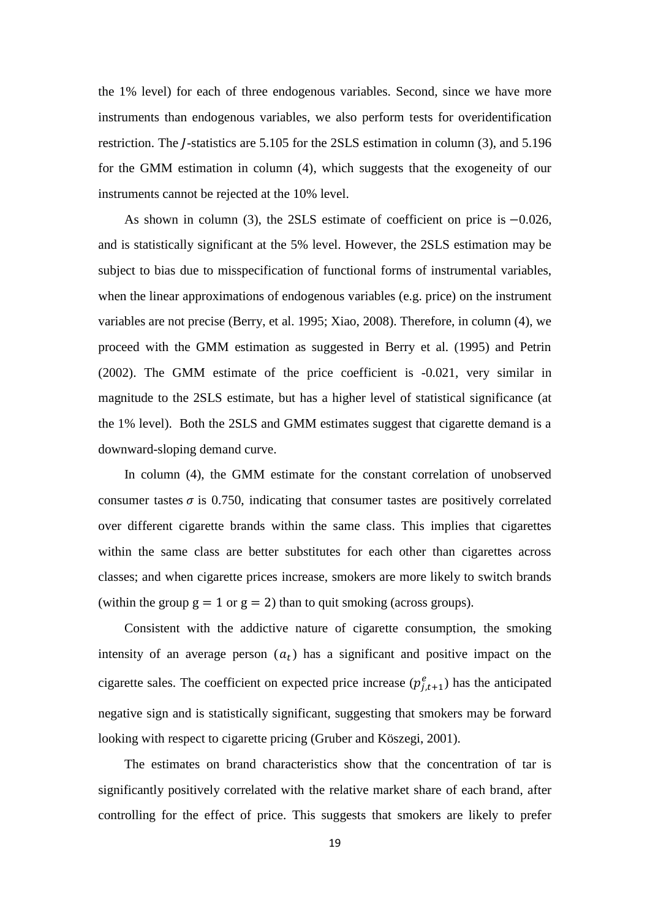the 1% level) for each of three endogenous variables. Second, since we have more instruments than endogenous variables, we also perform tests for overidentification restriction. The *I*-statistics are  $5.105$  for the 2SLS estimation in column  $(3)$ , and  $5.196$ for the GMM estimation in column (4), which suggests that the exogeneity of our instruments cannot be rejected at the 10% level.

As shown in column (3), the 2SLS estimate of coefficient on price is  $-0.026$ , and is statistically significant at the 5% level. However, the 2SLS estimation may be subject to bias due to misspecification of functional forms of instrumental variables, when the linear approximations of endogenous variables (e.g. price) on the instrument variables are not precise (Berry, et al. 1995; Xiao, 2008). Therefore, in column (4), we proceed with the GMM estimation as suggested in Berry et al. (1995) and Petrin (2002). The GMM estimate of the price coefficient is -0.021, very similar in magnitude to the 2SLS estimate, but has a higher level of statistical significance (at the 1% level). Both the 2SLS and GMM estimates suggest that cigarette demand is a downward-sloping demand curve.

In column (4), the GMM estimate for the constant correlation of unobserved consumer tastes  $\sigma$  is 0.750, indicating that consumer tastes are positively correlated over different cigarette brands within the same class. This implies that cigarettes within the same class are better substitutes for each other than cigarettes across classes; and when cigarette prices increase, smokers are more likely to switch brands (within the group  $g = 1$  or  $g = 2$ ) than to quit smoking (across groups).

Consistent with the addictive nature of cigarette consumption, the smoking intensity of an average person  $(a_t)$  has a significant and positive impact on the cigarette sales. The coefficient on expected price increase  $(p_{i,t+1}^e)$  has the anticipated negative sign and is statistically significant, suggesting that smokers may be forward looking with respect to cigarette pricing (Gruber and Köszegi, 2001).

The estimates on brand characteristics show that the concentration of tar is significantly positively correlated with the relative market share of each brand, after controlling for the effect of price. This suggests that smokers are likely to prefer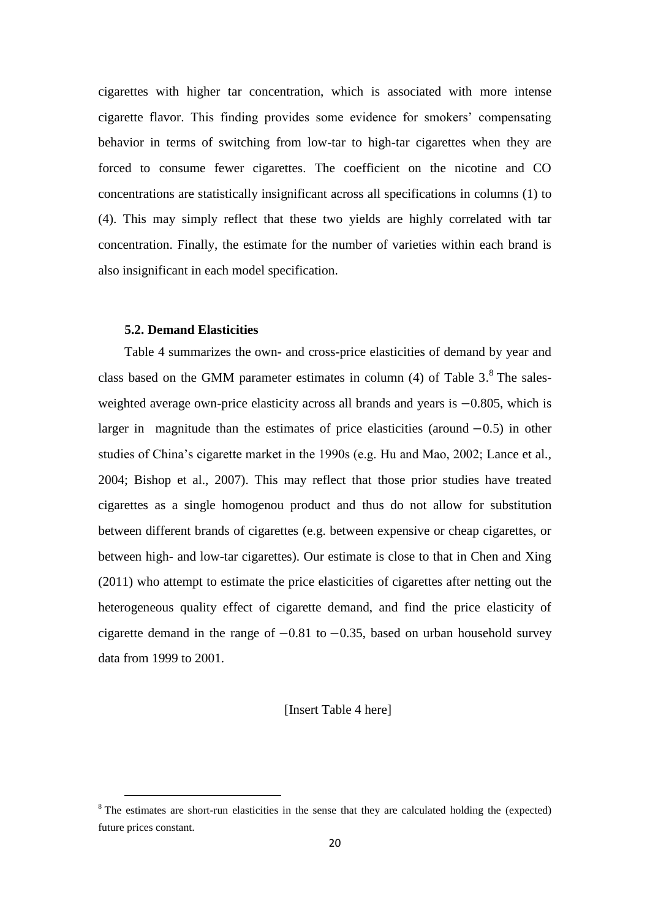cigarettes with higher tar concentration, which is associated with more intense cigarette flavor. This finding provides some evidence for smokers' compensating behavior in terms of switching from low-tar to high-tar cigarettes when they are forced to consume fewer cigarettes. The coefficient on the nicotine and CO concentrations are statistically insignificant across all specifications in columns (1) to (4). This may simply reflect that these two yields are highly correlated with tar concentration. Finally, the estimate for the number of varieties within each brand is also insignificant in each model specification.

## **5.2. Demand Elasticities**

 $\overline{a}$ 

Table 4 summarizes the own- and cross-price elasticities of demand by year and class based on the GMM parameter estimates in column  $(4)$  of Table 3.<sup>8</sup> The salesweighted average own-price elasticity across all brands and years is  $-0.805$ , which is larger in magnitude than the estimates of price elasticities (around  $-0.5$ ) in other studies of China's cigarette market in the 1990s (e.g. Hu and Mao, 2002; Lance et al., 2004; Bishop et al., 2007). This may reflect that those prior studies have treated cigarettes as a single homogenou product and thus do not allow for substitution between different brands of cigarettes (e.g. between expensive or cheap cigarettes, or between high- and low-tar cigarettes). Our estimate is close to that in Chen and Xing (2011) who attempt to estimate the price elasticities of cigarettes after netting out the heterogeneous quality effect of cigarette demand, and find the price elasticity of cigarette demand in the range of  $-0.81$  to  $-0.35$ , based on urban household survey data from 1999 to 2001.

[Insert Table 4 here]

<sup>&</sup>lt;sup>8</sup> The estimates are short-run elasticities in the sense that they are calculated holding the (expected) future prices constant.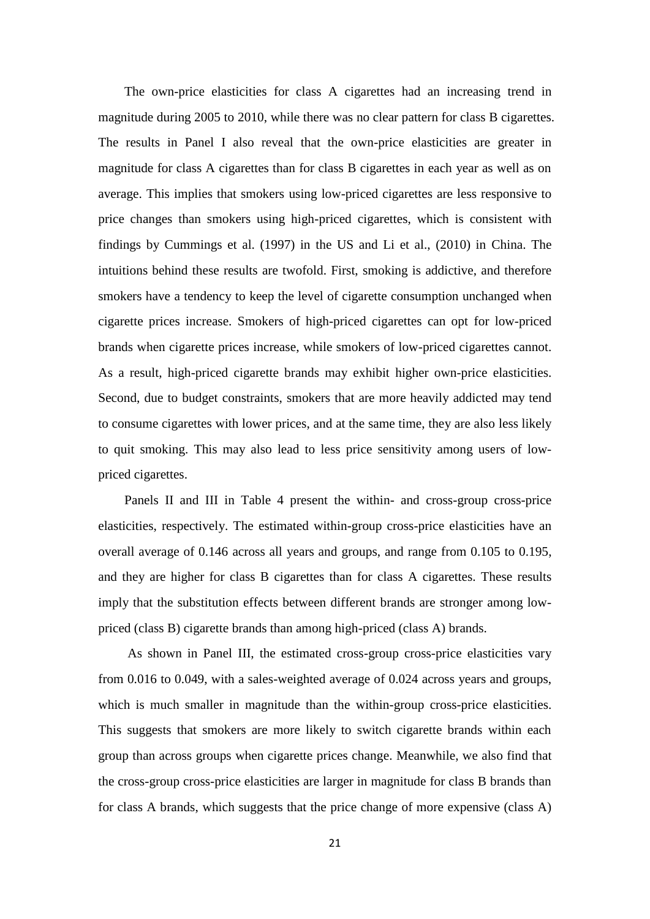The own-price elasticities for class A cigarettes had an increasing trend in magnitude during 2005 to 2010, while there was no clear pattern for class B cigarettes. The results in Panel I also reveal that the own-price elasticities are greater in magnitude for class A cigarettes than for class B cigarettes in each year as well as on average. This implies that smokers using low-priced cigarettes are less responsive to price changes than smokers using high-priced cigarettes, which is consistent with findings by Cummings et al. (1997) in the US and Li et al., (2010) in China. The intuitions behind these results are twofold. First, smoking is addictive, and therefore smokers have a tendency to keep the level of cigarette consumption unchanged when cigarette prices increase. Smokers of high-priced cigarettes can opt for low-priced brands when cigarette prices increase, while smokers of low-priced cigarettes cannot. As a result, high-priced cigarette brands may exhibit higher own-price elasticities. Second, due to budget constraints, smokers that are more heavily addicted may tend to consume cigarettes with lower prices, and at the same time, they are also less likely to quit smoking. This may also lead to less price sensitivity among users of lowpriced cigarettes.

Panels II and III in Table 4 present the within- and cross-group cross-price elasticities, respectively. The estimated within-group cross-price elasticities have an overall average of 0.146 across all years and groups, and range from 0.105 to 0.195, and they are higher for class B cigarettes than for class A cigarettes. These results imply that the substitution effects between different brands are stronger among lowpriced (class B) cigarette brands than among high-priced (class A) brands.

As shown in Panel III, the estimated cross-group cross-price elasticities vary from 0.016 to 0.049, with a sales-weighted average of 0.024 across years and groups, which is much smaller in magnitude than the within-group cross-price elasticities. This suggests that smokers are more likely to switch cigarette brands within each group than across groups when cigarette prices change. Meanwhile, we also find that the cross-group cross-price elasticities are larger in magnitude for class B brands than for class A brands, which suggests that the price change of more expensive (class A)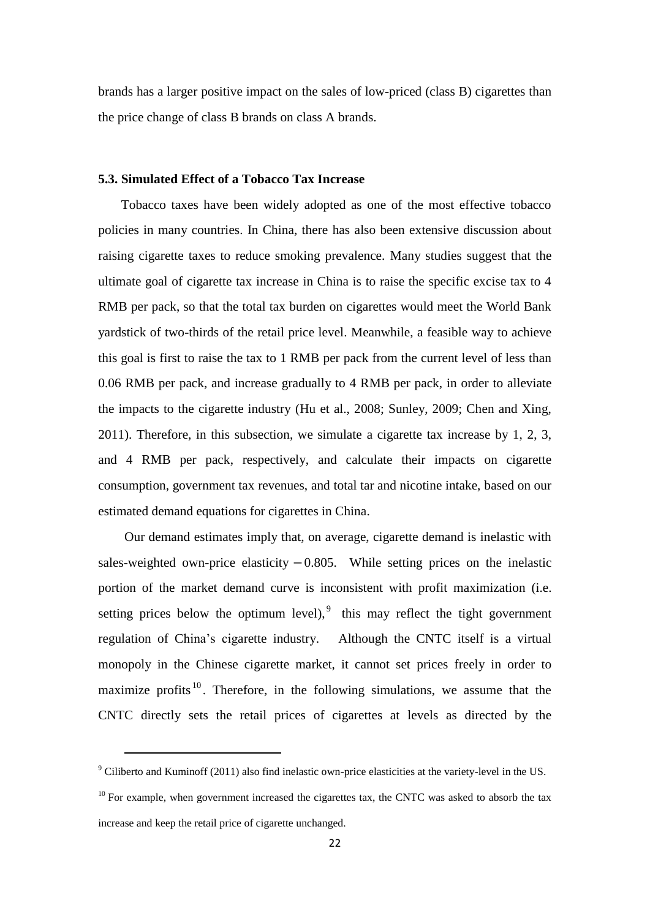brands has a larger positive impact on the sales of low-priced (class B) cigarettes than the price change of class B brands on class A brands.

## **5.3. Simulated Effect of a Tobacco Tax Increase**

 Tobacco taxes have been widely adopted as one of the most effective tobacco policies in many countries. In China, there has also been extensive discussion about raising cigarette taxes to reduce smoking prevalence. Many studies suggest that the ultimate goal of cigarette tax increase in China is to raise the specific excise tax to 4 RMB per pack, so that the total tax burden on cigarettes would meet the World Bank yardstick of two-thirds of the retail price level. Meanwhile, a feasible way to achieve this goal is first to raise the tax to 1 RMB per pack from the current level of less than 0.06 RMB per pack, and increase gradually to 4 RMB per pack, in order to alleviate the impacts to the cigarette industry (Hu et al., 2008; Sunley, 2009; Chen and Xing, 2011). Therefore, in this subsection, we simulate a cigarette tax increase by 1, 2, 3, and 4 RMB per pack, respectively, and calculate their impacts on cigarette consumption, government tax revenues, and total tar and nicotine intake, based on our estimated demand equations for cigarettes in China.

Our demand estimates imply that, on average, cigarette demand is inelastic with sales-weighted own-price elasticity  $-0.805$ . While setting prices on the inelastic portion of the market demand curve is inconsistent with profit maximization (i.e. setting prices below the optimum level),  $\frac{1}{2}$  this may reflect the tight government regulation of China's cigarette industry. Although the CNTC itself is a virtual monopoly in the Chinese cigarette market, it cannot set prices freely in order to maximize profits  $10$ . Therefore, in the following simulations, we assume that the CNTC directly sets the retail prices of cigarettes at levels as directed by the

 $\overline{a}$ 

<sup>9</sup> Ciliberto and Kuminoff (2011) also find inelastic own-price elasticities at the variety-level in the US.

 $10$  For example, when government increased the cigarettes tax, the CNTC was asked to absorb the tax increase and keep the retail price of cigarette unchanged.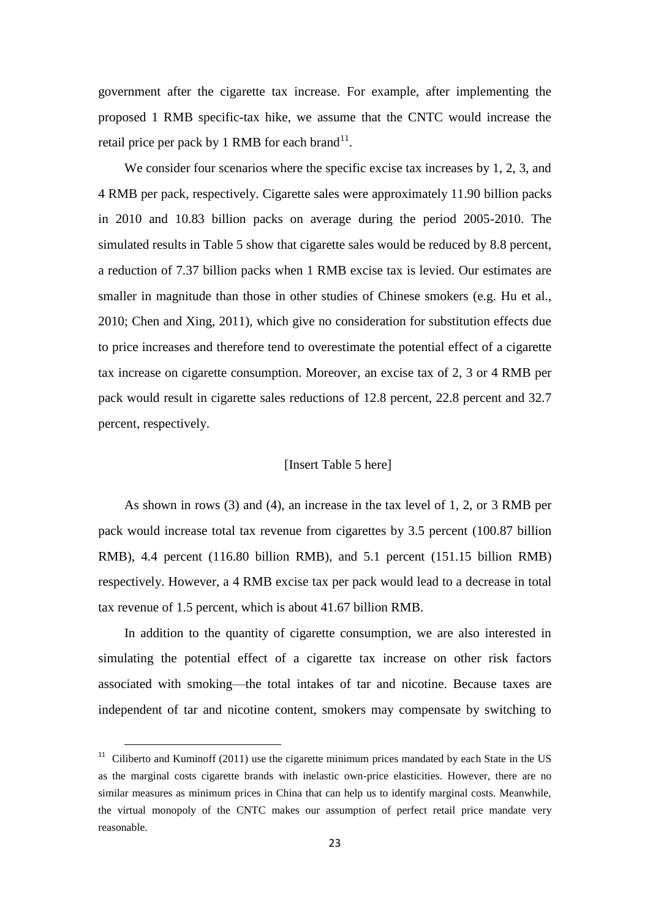government after the cigarette tax increase. For example, after implementing the proposed 1 RMB specific-tax hike, we assume that the CNTC would increase the retail price per pack by 1 RMB for each brand $^{11}$ .

We consider four scenarios where the specific excise tax increases by 1, 2, 3, and 4 RMB per pack, respectively. Cigarette sales were approximately 11.90 billion packs in 2010 and 10.83 billion packs on average during the period 2005-2010. The simulated results in Table 5 show that cigarette sales would be reduced by 8.8 percent, a reduction of 7.37 billion packs when 1 RMB excise tax is levied. Our estimates are smaller in magnitude than those in other studies of Chinese smokers (e.g. Hu et al., 2010; Chen and Xing, 2011), which give no consideration for substitution effects due to price increases and therefore tend to overestimate the potential effect of a cigarette tax increase on cigarette consumption. Moreover, an excise tax of 2, 3 or 4 RMB per pack would result in cigarette sales reductions of 12.8 percent, 22.8 percent and 32.7 percent, respectively.

## [Insert Table 5 here]

As shown in rows (3) and (4), an increase in the tax level of 1, 2, or 3 RMB per pack would increase total tax revenue from cigarettes by 3.5 percent (100.87 billion RMB), 4.4 percent (116.80 billion RMB), and 5.1 percent (151.15 billion RMB) respectively. However, a 4 RMB excise tax per pack would lead to a decrease in total tax revenue of 1.5 percent, which is about 41.67 billion RMB.

In addition to the quantity of cigarette consumption, we are also interested in simulating the potential effect of a cigarette tax increase on other risk factors associated with smoking—the total intakes of tar and nicotine. Because taxes are independent of tar and nicotine content, smokers may compensate by switching to

l

 $11$  Ciliberto and Kuminoff (2011) use the cigarette minimum prices mandated by each State in the US as the marginal costs cigarette brands with inelastic own-price elasticities. However, there are no similar measures as minimum prices in China that can help us to identify marginal costs. Meanwhile, the virtual monopoly of the CNTC makes our assumption of perfect retail price mandate very reasonable.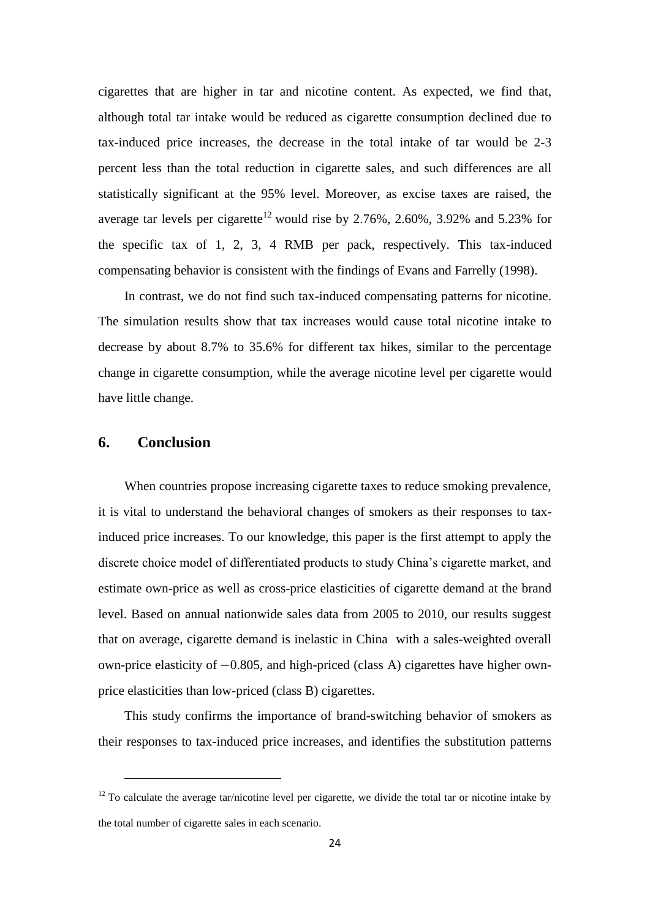cigarettes that are higher in tar and nicotine content. As expected, we find that, although total tar intake would be reduced as cigarette consumption declined due to tax-induced price increases, the decrease in the total intake of tar would be 2-3 percent less than the total reduction in cigarette sales, and such differences are all statistically significant at the 95% level. Moreover, as excise taxes are raised, the average tar levels per cigarette<sup>12</sup> would rise by 2.76%, 2.60%, 3.92% and 5.23% for the specific tax of 1, 2, 3, 4 RMB per pack, respectively. This tax-induced compensating behavior is consistent with the findings of Evans and Farrelly (1998).

In contrast, we do not find such tax-induced compensating patterns for nicotine. The simulation results show that tax increases would cause total nicotine intake to decrease by about 8.7% to 35.6% for different tax hikes, similar to the percentage change in cigarette consumption, while the average nicotine level per cigarette would have little change.

# **6. Conclusion**

 $\overline{\phantom{a}}$ 

When countries propose increasing cigarette taxes to reduce smoking prevalence, it is vital to understand the behavioral changes of smokers as their responses to taxinduced price increases. To our knowledge, this paper is the first attempt to apply the discrete choice model of differentiated products to study China's cigarette market, and estimate own-price as well as cross-price elasticities of cigarette demand at the brand level. Based on annual nationwide sales data from 2005 to 2010, our results suggest that on average, cigarette demand is inelastic in China with a sales-weighted overall own-price elasticity of  $-0.805$ , and high-priced (class A) cigarettes have higher ownprice elasticities than low-priced (class B) cigarettes.

This study confirms the importance of brand-switching behavior of smokers as their responses to tax-induced price increases, and identifies the substitution patterns

 $12$  To calculate the average tar/nicotine level per cigarette, we divide the total tar or nicotine intake by the total number of cigarette sales in each scenario.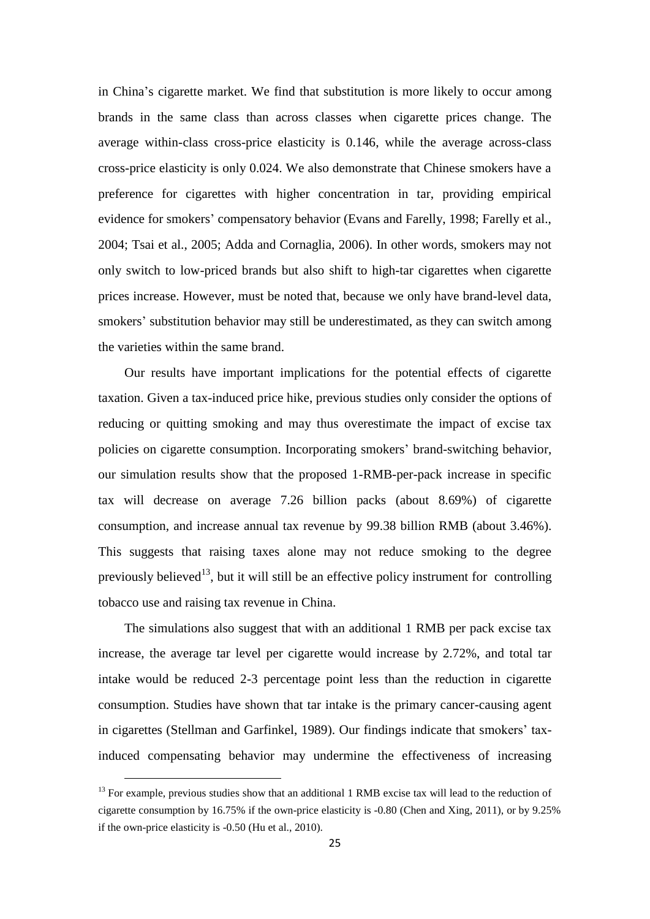in China's cigarette market. We find that substitution is more likely to occur among brands in the same class than across classes when cigarette prices change. The average within-class cross-price elasticity is 0.146, while the average across-class cross-price elasticity is only 0.024. We also demonstrate that Chinese smokers have a preference for cigarettes with higher concentration in tar, providing empirical evidence for smokers' compensatory behavior (Evans and Farelly, 1998; Farelly et al., 2004; Tsai et al., 2005; Adda and Cornaglia, 2006). In other words, smokers may not only switch to low-priced brands but also shift to high-tar cigarettes when cigarette prices increase. However, must be noted that, because we only have brand-level data, smokers' substitution behavior may still be underestimated, as they can switch among the varieties within the same brand.

Our results have important implications for the potential effects of cigarette taxation. Given a tax-induced price hike, previous studies only consider the options of reducing or quitting smoking and may thus overestimate the impact of excise tax policies on cigarette consumption. Incorporating smokers' brand-switching behavior, our simulation results show that the proposed 1-RMB-per-pack increase in specific tax will decrease on average 7.26 billion packs (about 8.69%) of cigarette consumption, and increase annual tax revenue by 99.38 billion RMB (about 3.46%). This suggests that raising taxes alone may not reduce smoking to the degree previously believed<sup>13</sup>, but it will still be an effective policy instrument for controlling tobacco use and raising tax revenue in China.

The simulations also suggest that with an additional 1 RMB per pack excise tax increase, the average tar level per cigarette would increase by 2.72%, and total tar intake would be reduced 2-3 percentage point less than the reduction in cigarette consumption. Studies have shown that tar intake is the primary cancer-causing agent in cigarettes (Stellman and Garfinkel, 1989). Our findings indicate that smokers' taxinduced compensating behavior may undermine the effectiveness of increasing

 $\overline{\phantom{a}}$ 

<sup>&</sup>lt;sup>13</sup> For example, previous studies show that an additional 1 RMB excise tax will lead to the reduction of cigarette consumption by 16.75% if the own-price elasticity is -0.80 (Chen and Xing, 2011), or by 9.25% if the own-price elasticity is -0.50 (Hu et al., 2010).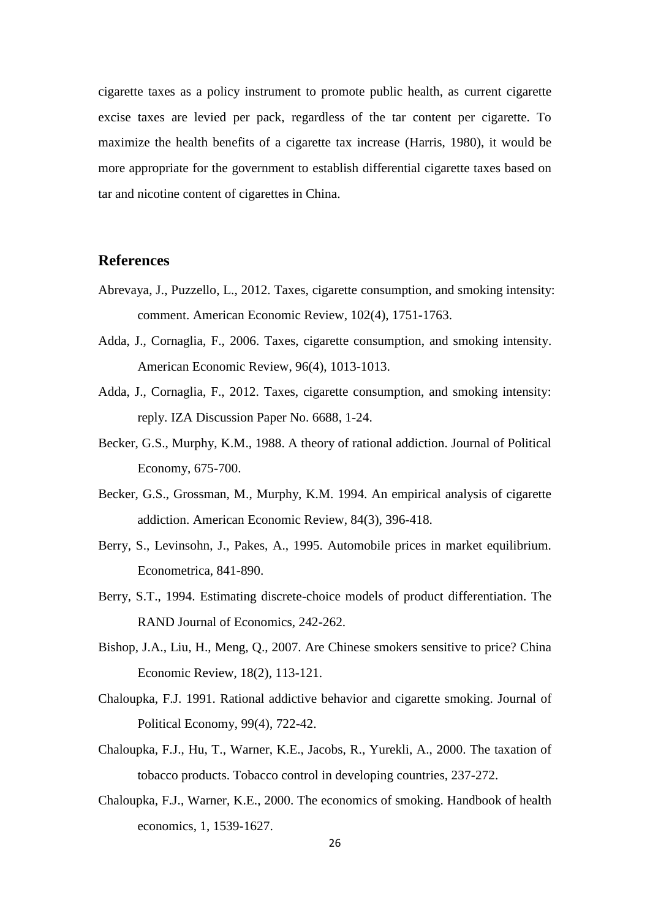cigarette taxes as a policy instrument to promote public health, as current cigarette excise taxes are levied per pack, regardless of the tar content per cigarette. To maximize the health benefits of a cigarette tax increase (Harris, 1980), it would be more appropriate for the government to establish differential cigarette taxes based on tar and nicotine content of cigarettes in China.

# **References**

- Abrevaya, J., Puzzello, L., 2012. Taxes, cigarette consumption, and smoking intensity: comment. American Economic Review, 102(4), 1751-1763.
- Adda, J., Cornaglia, F., 2006. Taxes, cigarette consumption, and smoking intensity. American Economic Review, 96(4), 1013-1013.
- Adda, J., Cornaglia, F., 2012. Taxes, cigarette consumption, and smoking intensity: reply. IZA Discussion Paper No. 6688, 1-24.
- Becker, G.S., Murphy, K.M., 1988. A theory of rational addiction. Journal of Political Economy, 675-700.
- Becker, G.S., Grossman, M., Murphy, K.M. 1994. An empirical analysis of cigarette addiction. American Economic Review, 84(3), 396-418.
- Berry, S., Levinsohn, J., Pakes, A., 1995. Automobile prices in market equilibrium. Econometrica, 841-890.
- Berry, S.T., 1994. Estimating discrete-choice models of product differentiation. The RAND Journal of Economics, 242-262.
- Bishop, J.A., Liu, H., Meng, Q., 2007. Are Chinese smokers sensitive to price? China Economic Review, 18(2), 113-121.
- Chaloupka, F.J. 1991. Rational addictive behavior and cigarette smoking. Journal of Political Economy, 99(4), 722-42.
- Chaloupka, F.J., Hu, T., Warner, K.E., Jacobs, R., Yurekli, A., 2000. The taxation of tobacco products. Tobacco control in developing countries, 237-272.
- Chaloupka, F.J., Warner, K.E., 2000. The economics of smoking. Handbook of health economics, 1, 1539-1627.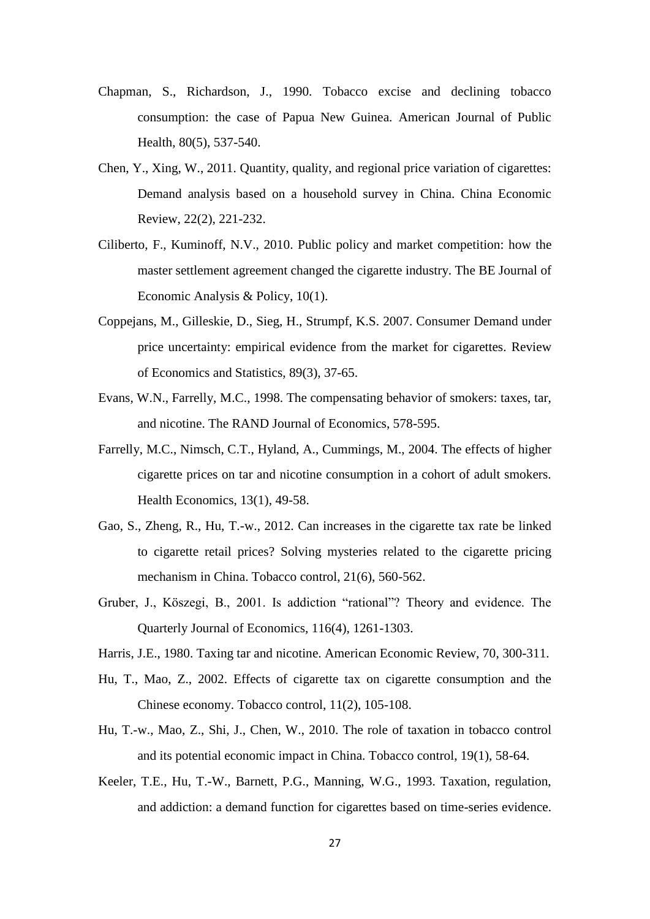- Chapman, S., Richardson, J., 1990. Tobacco excise and declining tobacco consumption: the case of Papua New Guinea. American Journal of Public Health, 80(5), 537-540.
- Chen, Y., Xing, W., 2011. Quantity, quality, and regional price variation of cigarettes: Demand analysis based on a household survey in China. China Economic Review, 22(2), 221-232.
- Ciliberto, F., Kuminoff, N.V., 2010. Public policy and market competition: how the master settlement agreement changed the cigarette industry. The BE Journal of Economic Analysis & Policy, 10(1).
- Coppejans, M., Gilleskie, D., Sieg, H., Strumpf, K.S. 2007. Consumer Demand under price uncertainty: empirical evidence from the market for cigarettes. Review of Economics and Statistics, 89(3), 37-65.
- Evans, W.N., Farrelly, M.C., 1998. The compensating behavior of smokers: taxes, tar, and nicotine. The RAND Journal of Economics, 578-595.
- Farrelly, M.C., Nimsch, C.T., Hyland, A., Cummings, M., 2004. The effects of higher cigarette prices on tar and nicotine consumption in a cohort of adult smokers. Health Economics, 13(1), 49-58.
- Gao, S., Zheng, R., Hu, T.-w., 2012. Can increases in the cigarette tax rate be linked to cigarette retail prices? Solving mysteries related to the cigarette pricing mechanism in China. Tobacco control, 21(6), 560-562.
- Gruber, J., Köszegi, B., 2001. Is addiction "rational"? Theory and evidence. The Quarterly Journal of Economics, 116(4), 1261-1303.
- Harris, J.E., 1980. Taxing tar and nicotine. American Economic Review, 70, 300-311.
- Hu, T., Mao, Z., 2002. Effects of cigarette tax on cigarette consumption and the Chinese economy. Tobacco control, 11(2), 105-108.
- Hu, T.-w., Mao, Z., Shi, J., Chen, W., 2010. The role of taxation in tobacco control and its potential economic impact in China. Tobacco control, 19(1), 58-64.
- Keeler, T.E., Hu, T.-W., Barnett, P.G., Manning, W.G., 1993. Taxation, regulation, and addiction: a demand function for cigarettes based on time-series evidence.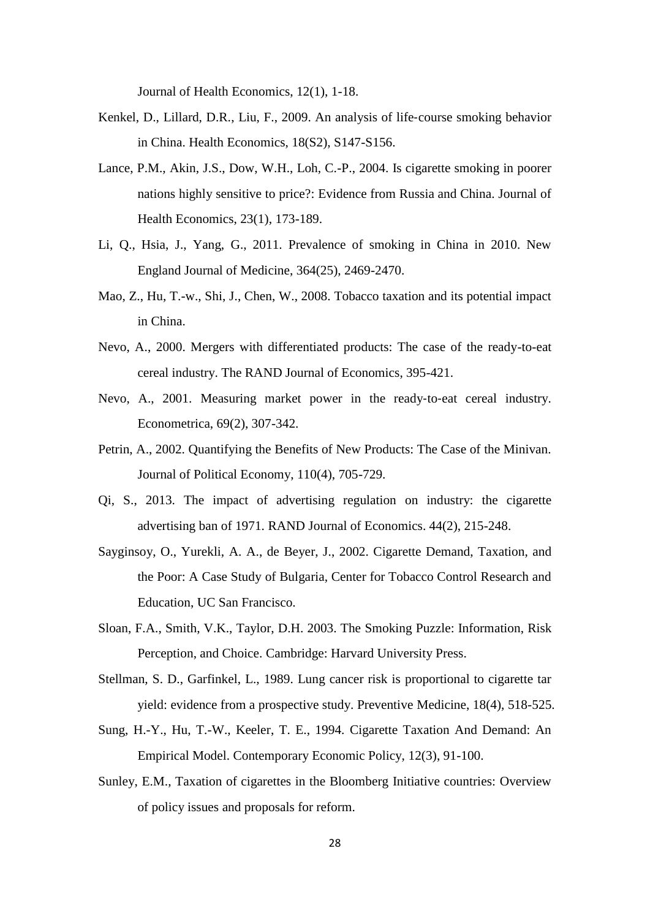Journal of Health Economics, 12(1), 1-18.

- Kenkel, D., Lillard, D.R., Liu, F., 2009. An analysis of life-course smoking behavior in China. Health Economics, 18(S2), S147-S156.
- Lance, P.M., Akin, J.S., Dow, W.H., Loh, C.-P., 2004. Is cigarette smoking in poorer nations highly sensitive to price?: Evidence from Russia and China. Journal of Health Economics, 23(1), 173-189.
- Li, Q., Hsia, J., Yang, G., 2011. Prevalence of smoking in China in 2010. New England Journal of Medicine, 364(25), 2469-2470.
- Mao, Z., Hu, T.-w., Shi, J., Chen, W., 2008. Tobacco taxation and its potential impact in China.
- Nevo, A., 2000. Mergers with differentiated products: The case of the ready-to-eat cereal industry. The RAND Journal of Economics, 395-421.
- Nevo, A., 2001. Measuring market power in the ready-to-eat cereal industry. Econometrica, 69(2), 307-342.
- Petrin, A., 2002. Quantifying the Benefits of New Products: The Case of the Minivan. Journal of Political Economy, 110(4), 705-729.
- Qi, S., 2013. The impact of advertising regulation on industry: the cigarette advertising ban of 1971. RAND Journal of Economics. 44(2), 215-248.
- Sayginsoy, O., Yurekli, A. A., de Beyer, J., 2002. Cigarette Demand, Taxation, and the Poor: A Case Study of Bulgaria, Center for Tobacco Control Research and Education, UC San Francisco.
- Sloan, F.A., Smith, V.K., Taylor, D.H. 2003. The Smoking Puzzle: Information, Risk Perception, and Choice. Cambridge: Harvard University Press.
- Stellman, S. D., Garfinkel, L., 1989. Lung cancer risk is proportional to cigarette tar yield: evidence from a prospective study. Preventive Medicine, 18(4), 518-525.
- Sung, H.-Y., Hu, T.-W., Keeler, T. E., 1994. Cigarette Taxation And Demand: An Empirical Model. Contemporary Economic Policy, 12(3), 91-100.
- Sunley, E.M., Taxation of cigarettes in the Bloomberg Initiative countries: Overview of policy issues and proposals for reform.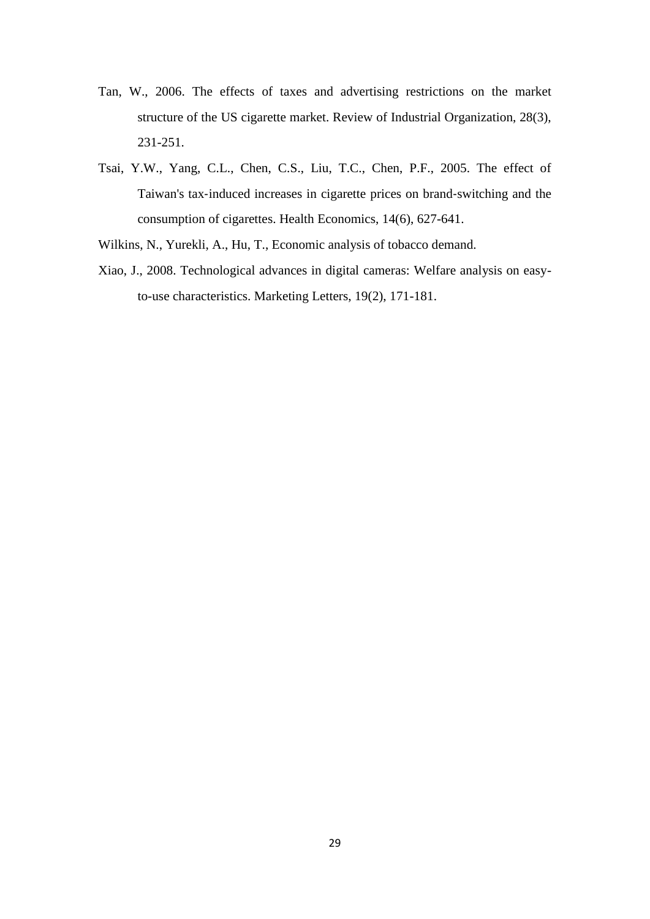- Tan, W., 2006. The effects of taxes and advertising restrictions on the market structure of the US cigarette market. Review of Industrial Organization, 28(3), 231-251.
- Tsai, Y.W., Yang, C.L., Chen, C.S., Liu, T.C., Chen, P.F., 2005. The effect of Taiwan's tax‐induced increases in cigarette prices on brand‐switching and the consumption of cigarettes. Health Economics, 14(6), 627-641.
- Wilkins, N., Yurekli, A., Hu, T., Economic analysis of tobacco demand.
- Xiao, J., 2008. Technological advances in digital cameras: Welfare analysis on easyto-use characteristics. Marketing Letters, 19(2), 171-181.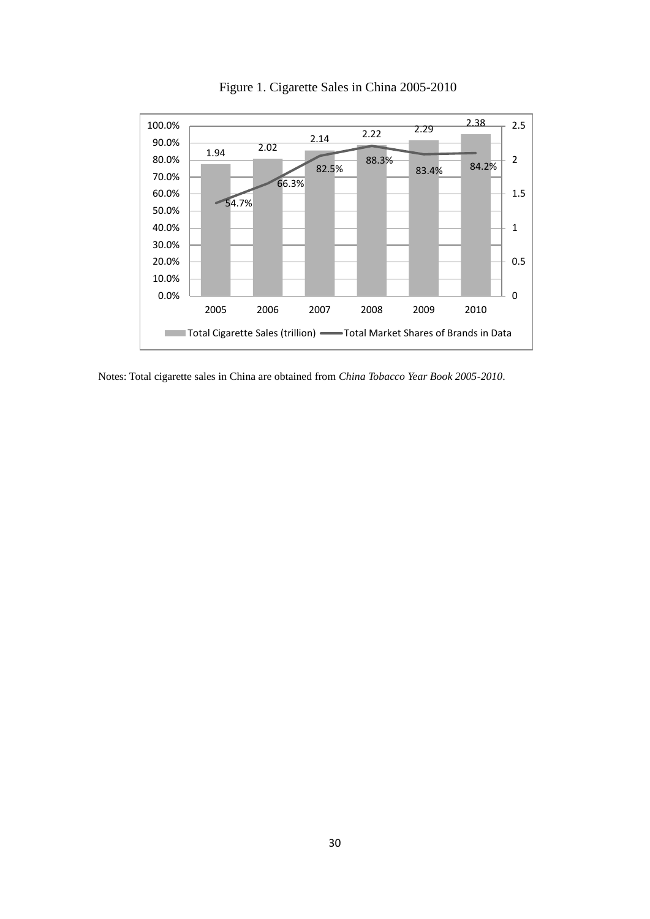

Figure 1. Cigarette Sales in China 2005-2010

Notes: Total cigarette sales in China are obtained from *China Tobacco Year Book 2005-2010*.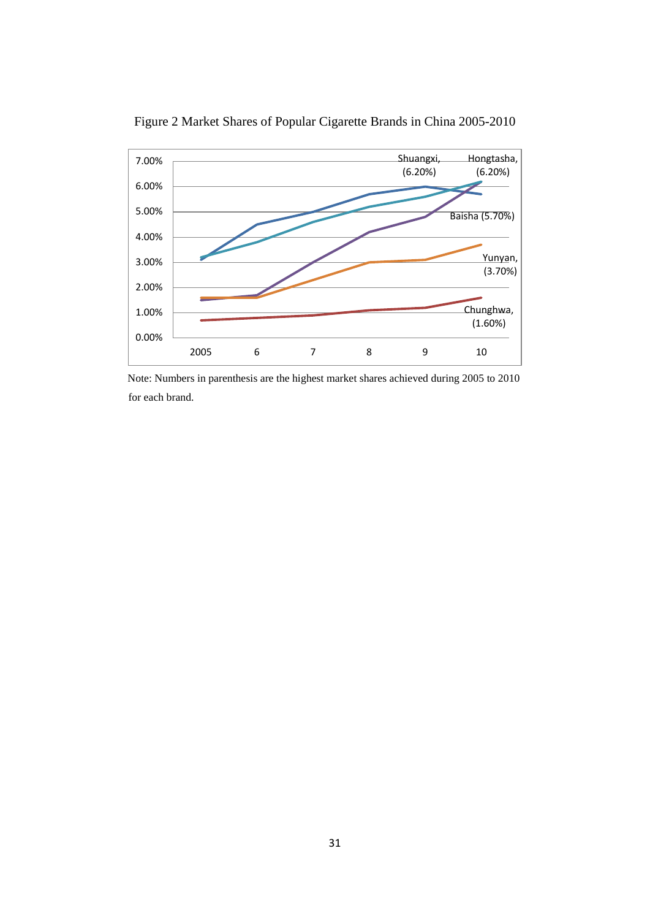

Figure 2 Market Shares of Popular Cigarette Brands in China 2005-2010

 Note: Numbers in parenthesis are the highest market shares achieved during 2005 to 2010 for each brand.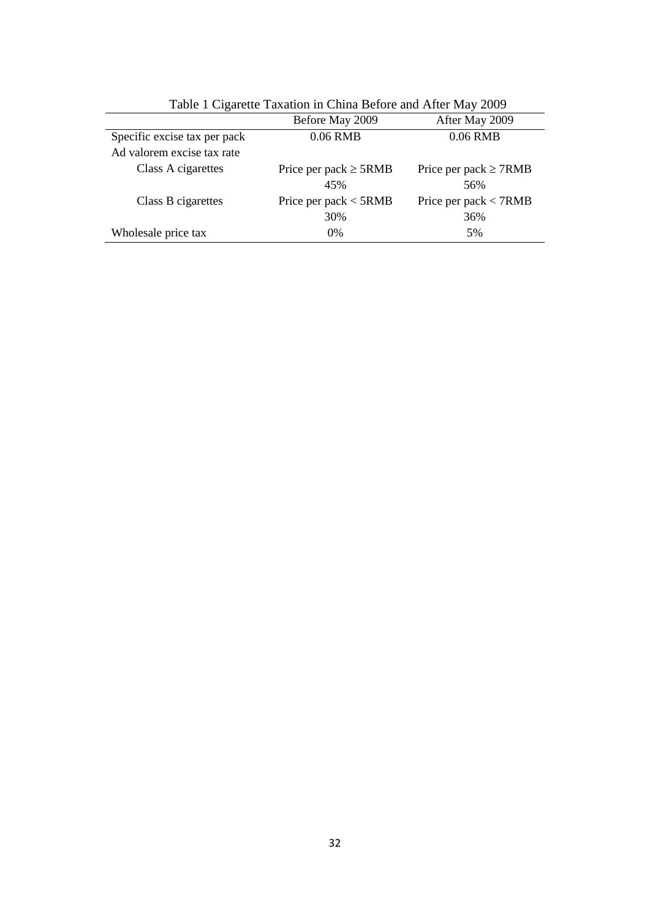|                                                            | Before May 2009                   | After May 2009                    |
|------------------------------------------------------------|-----------------------------------|-----------------------------------|
| Specific excise tax per pack<br>Ad valorem excise tax rate | 0.06 RMB                          | 0.06 RMB                          |
| Class A cigarettes                                         | Price per pack $\geq$ 5RMB<br>45% | Price per pack $\geq$ 7RMB<br>56% |
| Class B cigarettes                                         | Price per pack $<$ 5RMB<br>30%    | Price per pack $<$ 7RMB<br>36%    |
| Wholesale price tax                                        | $0\%$                             | 5%                                |

Table 1 Cigarette Taxation in China Before and After May 2009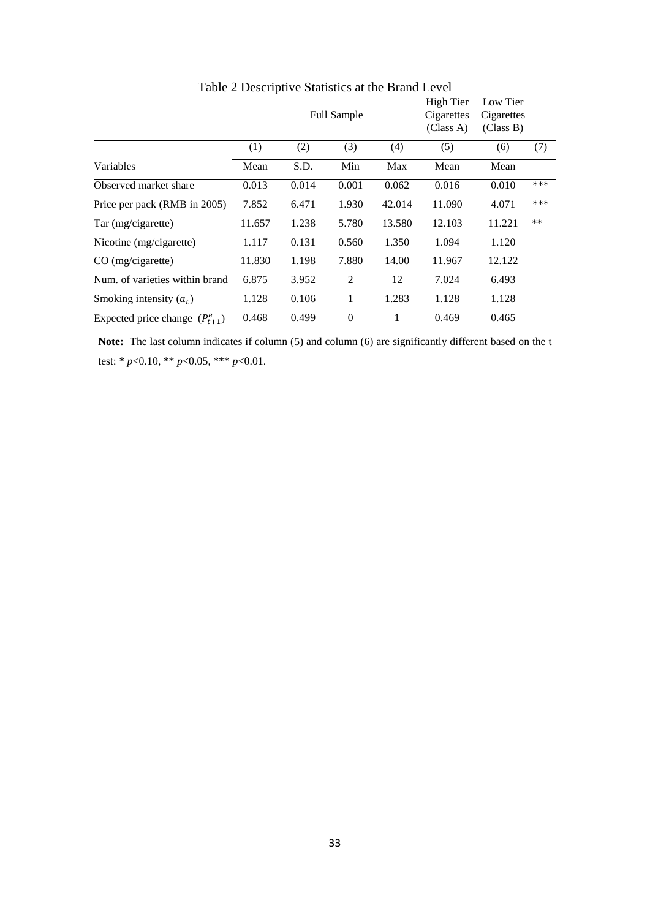|                                     |        |       | <b>Full Sample</b> |        | High Tier<br>Cigarettes<br>(Class A) | Low Tier<br>Cigarettes<br>(Class B) |       |
|-------------------------------------|--------|-------|--------------------|--------|--------------------------------------|-------------------------------------|-------|
|                                     | (1)    | (2)   | (3)                | (4)    | (5)                                  | (6)                                 | (7)   |
| Variables                           | Mean   | S.D.  | Min                | Max    | Mean                                 | Mean                                |       |
| Observed market share               | 0.013  | 0.014 | 0.001              | 0.062  | 0.016                                | 0.010                               | ***   |
| Price per pack (RMB in 2005)        | 7.852  | 6.471 | 1.930              | 42.014 | 11.090                               | 4.071                               | ***   |
| Tar (mg/cigarette)                  | 11.657 | 1.238 | 5.780              | 13.580 | 12.103                               | 11.221                              | $***$ |
| Nicotine (mg/cigarette)             | 1.117  | 0.131 | 0.560              | 1.350  | 1.094                                | 1.120                               |       |
| $CO$ (mg/cigarette)                 | 11.830 | 1.198 | 7.880              | 14.00  | 11.967                               | 12.122                              |       |
| Num, of varieties within brand      | 6.875  | 3.952 | 2                  | 12     | 7.024                                | 6.493                               |       |
| Smoking intensity $(a_t)$           | 1.128  | 0.106 | 1                  | 1.283  | 1.128                                | 1.128                               |       |
| Expected price change $(P_{t+1}^e)$ | 0.468  | 0.499 | $\mathbf{0}$       | 1      | 0.469                                | 0.465                               |       |

Table 2 Descriptive Statistics at the Brand Level

Note: The last column indicates if column (5) and column (6) are significantly different based on the t test: \* *p*<0.10, \*\* *p*<0.05, \*\*\* *p*<0.01.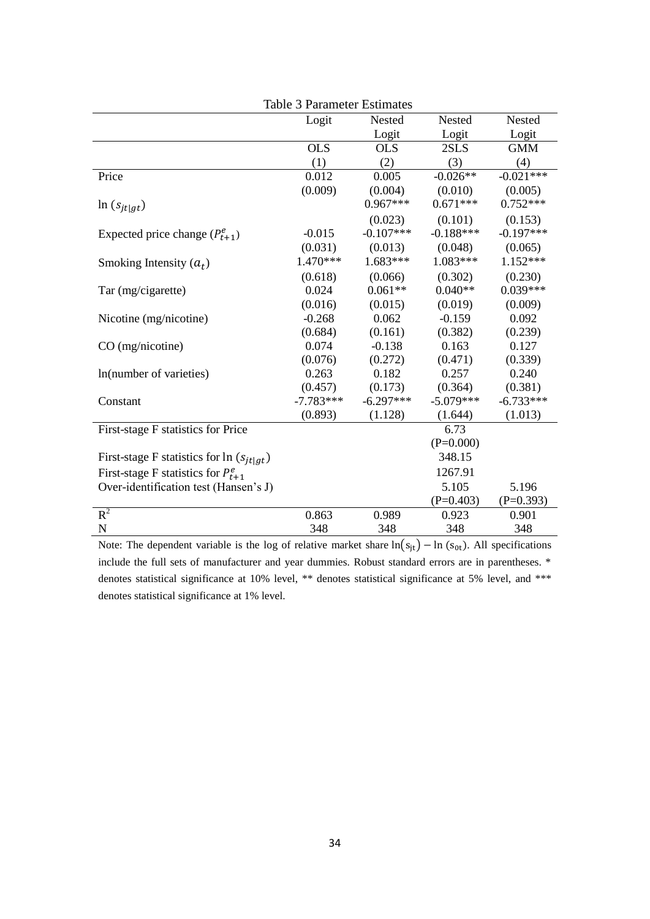|                                                | <b>Table 3 Parameter Estimates</b> |             |             |             |
|------------------------------------------------|------------------------------------|-------------|-------------|-------------|
|                                                | Logit                              | Nested      | Nested      | Nested      |
|                                                |                                    | Logit       | Logit       | Logit       |
|                                                | <b>OLS</b>                         | <b>OLS</b>  | 2SLS        | <b>GMM</b>  |
|                                                | (1)                                | (2)         | (3)         | (4)         |
| Price                                          | 0.012                              | 0.005       | $-0.026**$  | $-0.021***$ |
|                                                | (0.009)                            | (0.004)     | (0.010)     | (0.005)     |
| $\ln (s_{it gt})$                              |                                    | $0.967***$  | $0.671***$  | $0.752***$  |
|                                                |                                    | (0.023)     | (0.101)     | (0.153)     |
| Expected price change $(P_{t+1}^e)$            | $-0.015$                           | $-0.107***$ | $-0.188***$ | $-0.197***$ |
|                                                | (0.031)                            | (0.013)     | (0.048)     | (0.065)     |
| Smoking Intensity $(a_t)$                      | 1.470***                           | 1.683***    | 1.083***    | $1.152***$  |
|                                                | (0.618)                            | (0.066)     | (0.302)     | (0.230)     |
| Tar (mg/cigarette)                             | 0.024                              | $0.061**$   | $0.040**$   | $0.039***$  |
|                                                | (0.016)                            | (0.015)     | (0.019)     | (0.009)     |
| Nicotine (mg/nicotine)                         | $-0.268$                           | 0.062       | $-0.159$    | 0.092       |
|                                                | (0.684)                            | (0.161)     | (0.382)     | (0.239)     |
| $CO$ (mg/nicotine)                             | 0.074                              | $-0.138$    | 0.163       | 0.127       |
|                                                | (0.076)                            | (0.272)     | (0.471)     | (0.339)     |
| In(number of varieties)                        | 0.263                              | 0.182       | 0.257       | 0.240       |
|                                                | (0.457)                            | (0.173)     | (0.364)     | (0.381)     |
| Constant                                       | $-7.783***$                        | $-6.297***$ | $-5.079***$ | $-6.733***$ |
|                                                | (0.893)                            | (1.128)     | (1.644)     | (1.013)     |
| First-stage F statistics for Price             |                                    |             | 6.73        |             |
|                                                |                                    |             | $(P=0.000)$ |             |
| First-stage F statistics for $\ln (s_{it gt})$ |                                    |             | 348.15      |             |
| First-stage F statistics for $P_{t+1}^e$       |                                    |             | 1267.91     |             |
| Over-identification test (Hansen's J)          |                                    |             | 5.105       | 5.196       |
|                                                |                                    |             | $(P=0.403)$ | $(P=0.393)$ |
| $R^2$                                          | 0.863                              | 0.989       | 0.923       | 0.901       |
| $\mathbf N$                                    | 348                                | 348         | 348         | 348         |

Note: The dependent variable is the log of relative market share  $\ln(s_{jt}) - \ln(s_{0t})$ . All specifications include the full sets of manufacturer and year dummies. Robust standard errors are in parentheses. \* denotes statistical significance at 10% level, \*\* denotes statistical significance at 5% level, and \*\*\* denotes statistical significance at 1% level.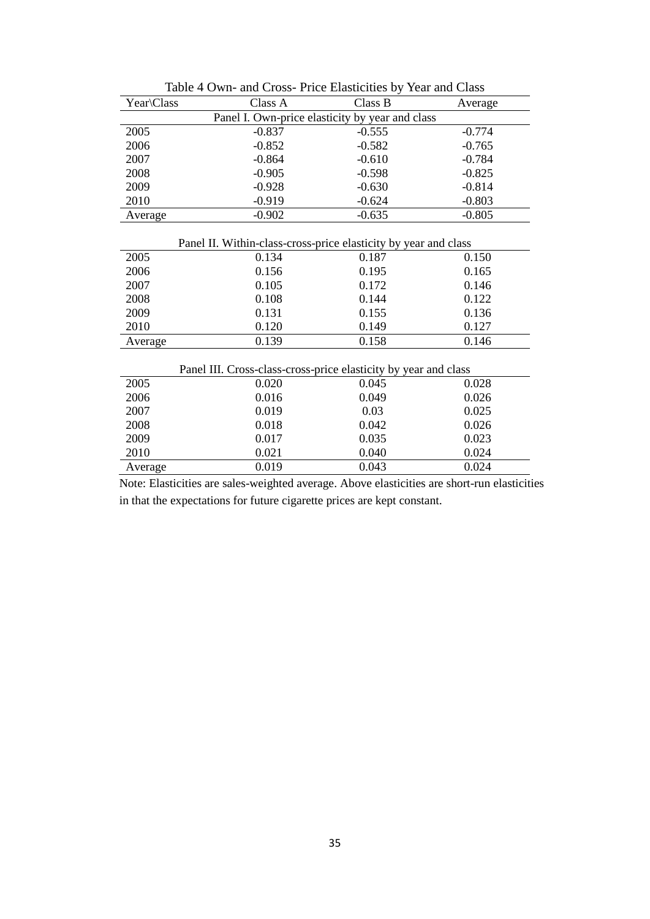| Year\Class                                                      | Class A  | Class B  | Average  |  |  |  |
|-----------------------------------------------------------------|----------|----------|----------|--|--|--|
| Panel I. Own-price elasticity by year and class                 |          |          |          |  |  |  |
| 2005                                                            | $-0.837$ | $-0.555$ | $-0.774$ |  |  |  |
| 2006                                                            | $-0.852$ | $-0.582$ | $-0.765$ |  |  |  |
| 2007                                                            | $-0.864$ | $-0.610$ | $-0.784$ |  |  |  |
| 2008                                                            | $-0.905$ | $-0.598$ | $-0.825$ |  |  |  |
| 2009                                                            | $-0.928$ | $-0.630$ | $-0.814$ |  |  |  |
| 2010                                                            | $-0.919$ | $-0.624$ | $-0.803$ |  |  |  |
| Average                                                         | $-0.902$ | $-0.635$ | $-0.805$ |  |  |  |
| Panel II. Within-class-cross-price elasticity by year and class |          |          |          |  |  |  |
| 2005                                                            | 0.134    | 0.187    | 0.150    |  |  |  |
| 2006                                                            | 0.156    | 0.195    | 0.165    |  |  |  |
| 2007                                                            | 0.105    | 0.172    | 0.146    |  |  |  |
| 2008                                                            | 0.108    | 0.144    | 0.122    |  |  |  |
| 2009                                                            | 0.131    | 0.155    | 0.136    |  |  |  |
| 2010                                                            | 0.120    | 0.149    | 0.127    |  |  |  |
| Average                                                         | 0.139    | 0.158    | 0.146    |  |  |  |
| Panel III. Cross-class-cross-price elasticity by year and class |          |          |          |  |  |  |
| 2005                                                            | 0.020    | 0.045    | 0.028    |  |  |  |
| 2006                                                            | 0.016    | 0.049    | 0.026    |  |  |  |
| 2007                                                            | 0.019    | 0.03     | 0.025    |  |  |  |
| 2008                                                            | 0.018    | 0.042    | 0.026    |  |  |  |
| 2009                                                            | 0.017    | 0.035    | 0.023    |  |  |  |
| 2010                                                            | 0.021    | 0.040    | 0.024    |  |  |  |
| Average                                                         | 0.019    | 0.043    | 0.024    |  |  |  |

Table 4 Own- and Cross- Price Elasticities by Year and Class

 Note: Elasticities are sales-weighted average. Above elasticities are short-run elasticities in that the expectations for future cigarette prices are kept constant.